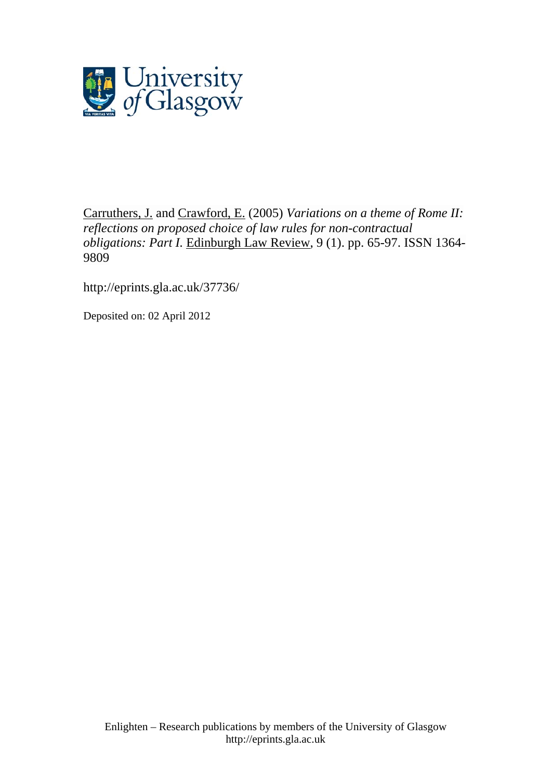

[Carruthers, J.](http://eprints.gla.ac.uk/view/author/6155.html) and [Crawford, E.](http://eprints.gla.ac.uk/view/author/4577.html) (2005) *Variations on a theme of Rome II: reflections on proposed choice of law rules for non-contractual obligations: Part I.* [Edinburgh Law Review,](http://eprints.gla.ac.uk/view/journal_volume/Edinburgh_Law_Review.html) 9 (1). pp. 65-97. ISSN 1364- 9809

<http://eprints.gla.ac.uk/37736/>

Deposited on: 02 April 2012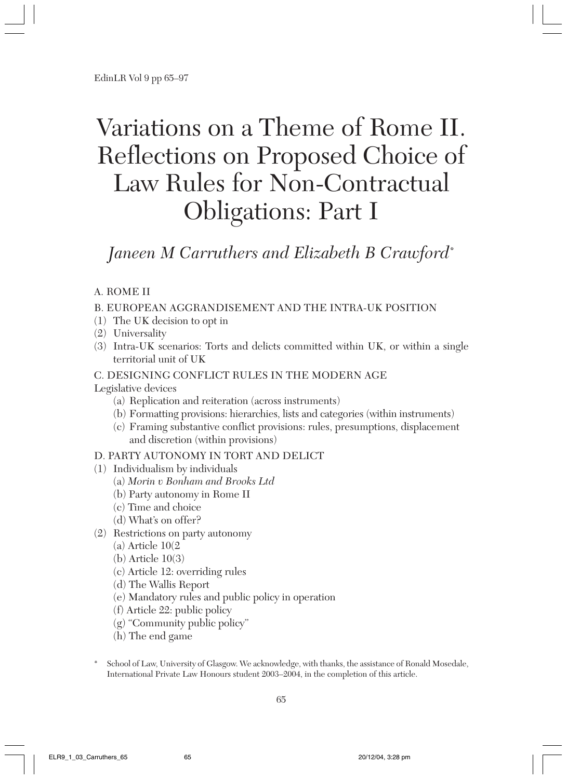# Variations on a Theme of Rome II. Reflections on Proposed Choice of Law Rules for Non-Contractual Obligations: Part I

# *Janeen M Carruthers and Elizabeth B Crawford\**

# A. ROME II

#### B. EUROPEAN AGGRANDISEMENT AND THE INTRA-UK POSITION

- (1) The UK decision to opt in
- (2) Universality
- (3) Intra-UK scenarios: Torts and delicts committed within UK, or within a single territorial unit of UK

#### C. DESIGNING CONFLICT RULES IN THE MODERN AGE

Legislative devices

- (a) Replication and reiteration (across instruments)
- (b) Formatting provisions: hierarchies, lists and categories (within instruments)
- (c) Framing substantive conflict provisions: rules, presumptions, displacement and discretion (within provisions)

#### D. PARTY AUTONOMY IN TORT AND DELICT

- (1) Individualism by individuals
	- (a) *Morin v Bonham and Brooks Ltd*
	- (b) Party autonomy in Rome II
	- (c) Time and choice
	- (d) What's on offer?
- (2) Restrictions on party autonomy
	- $(a)$  Article  $10(2)$
	- (b) Article 10(3)
	- (c) Article 12: overriding rules
	- (d) The Wallis Report
	- (e) Mandatory rules and public policy in operation
	- (f) Article 22: public policy
	- (g) "Community public policy"
	- (h) The end game
- School of Law, University of Glasgow. We acknowledge, with thanks, the assistance of Ronald Mosedale, International Private Law Honours student 2003–2004, in the completion of this article.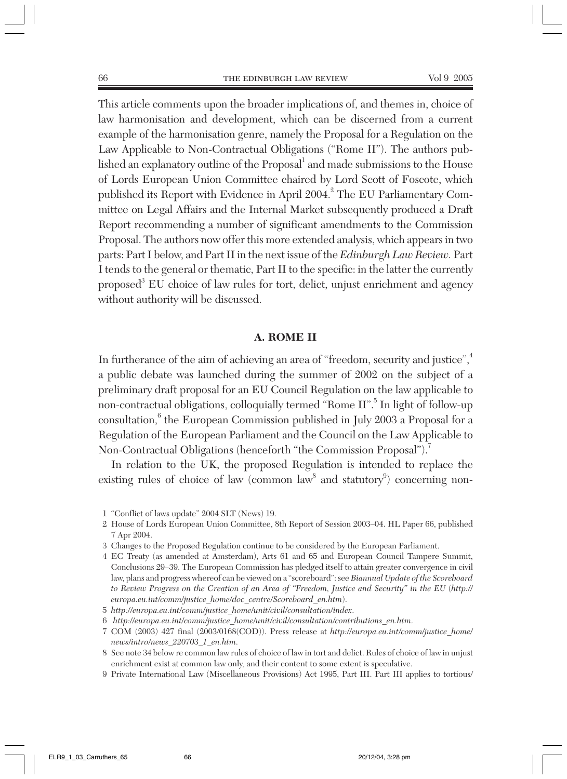This article comments upon the broader implications of, and themes in, choice of law harmonisation and development, which can be discerned from a current example of the harmonisation genre, namely the Proposal for a Regulation on the Law Applicable to Non-Contractual Obligations ("Rome II"). The authors published an explanatory outline of the Proposal<sup>1</sup> and made submissions to the House of Lords European Union Committee chaired by Lord Scott of Foscote, which published its Report with Evidence in April 2004.<sup>2</sup> The EU Parliamentary Committee on Legal Affairs and the Internal Market subsequently produced a Draft Report recommending a number of significant amendments to the Commission Proposal. The authors now offer this more extended analysis, which appears in two parts: Part I below, and Part II in the next issue of the *Edinburgh Law Review.* Part I tends to the general or thematic, Part II to the specific: in the latter the currently proposed<sup>3</sup> EU choice of law rules for tort, delict, unjust enrichment and agency without authority will be discussed.

#### **A. ROME II**

In furtherance of the aim of achieving an area of "freedom, security and justice",<sup>4</sup> a public debate was launched during the summer of 2002 on the subject of a preliminary draft proposal for an EU Council Regulation on the law applicable to non-contractual obligations, colloquially termed "Rome II".<sup>5</sup> In light of follow-up  $\,$  consultation, $\!6\,$  the European Commission published in July 2003 a Proposal for a Regulation of the European Parliament and the Council on the Law Applicable to Non-Contractual Obligations (henceforth "the Commission Proposal").<sup>7</sup>

In relation to the UK, the proposed Regulation is intended to replace the existing rules of choice of law (common law<sup>8</sup> and statutory<sup>9</sup>) concerning non-

- 3 Changes to the Proposed Regulation continue to be considered by the European Parliament.
- 4 EC Treaty (as amended at Amsterdam), Arts 61 and 65 and European Council Tampere Summit, Conclusions 29–39. The European Commission has pledged itself to attain greater convergence in civil law, plans and progress whereof can be viewed on a "scoreboard": see *Biannual Update of the Scoreboard to Review Progress on the Creation of an Area of "Freedom, Justice and Security" in the EU* (*http:// europa.eu.int/comm/justice\_home/doc\_centre/Scoreboard\_en.htm*).
- 5 *http://europa.eu.int/comm/justice\_home/unit/civil/consultation/index*.
- 6 *http://europa.eu.int/comm/justice\_home/unit/civil/consultation/contributions\_en.htm*.
- 7 COM (2003) 427 final (2003/0168(COD)). Press release at *http://europa.eu.int/comm/justice\_home/ news/intro/news\_220703\_1\_en.htm*.
- 8 See note 34 below re common law rules of choice of law in tort and delict. Rules of choice of law in unjust enrichment exist at common law only, and their content to some extent is speculative.
- 9 Private International Law (Miscellaneous Provisions) Act 1995, Part III. Part III applies to tortious/

<sup>1</sup> "Conflict of laws update" 2004 SLT (News) 19.

<sup>2</sup> House of Lords European Union Committee, 8th Report of Session 2003–04. HL Paper 66, published 7 Apr 2004.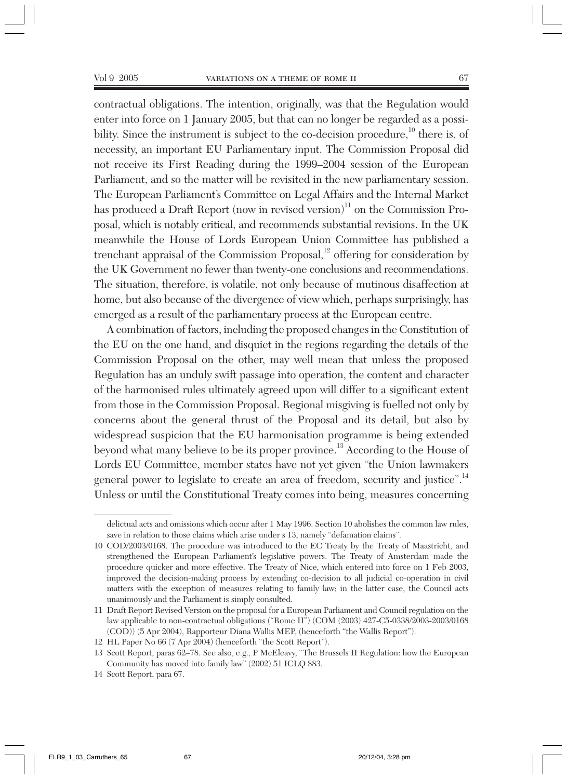contractual obligations. The intention, originally, was that the Regulation would enter into force on 1 January 2005, but that can no longer be regarded as a possibility. Since the instrument is subject to the co-decision procedure, $^{10}$  there is, of necessity, an important EU Parliamentary input. The Commission Proposal did not receive its First Reading during the 1999–2004 session of the European Parliament, and so the matter will be revisited in the new parliamentary session. The European Parliament's Committee on Legal Affairs and the Internal Market has produced a Draft Report (now in revised version)<sup>11</sup> on the Commission Proposal, which is notably critical, and recommends substantial revisions. In the UK meanwhile the House of Lords European Union Committee has published a trenchant appraisal of the Commission Proposal, $^{12}$  offering for consideration by the UK Government no fewer than twenty-one conclusions and recommendations. The situation, therefore, is volatile, not only because of mutinous disaffection at home, but also because of the divergence of view which, perhaps surprisingly, has emerged as a result of the parliamentary process at the European centre.

A combination of factors, including the proposed changes in the Constitution of the EU on the one hand, and disquiet in the regions regarding the details of the Commission Proposal on the other, may well mean that unless the proposed Regulation has an unduly swift passage into operation, the content and character of the harmonised rules ultimately agreed upon will differ to a significant extent from those in the Commission Proposal. Regional misgiving is fuelled not only by concerns about the general thrust of the Proposal and its detail, but also by widespread suspicion that the EU harmonisation programme is being extended beyond what many believe to be its proper province.13 According to the House of Lords EU Committee, member states have not yet given "the Union lawmakers general power to legislate to create an area of freedom, security and justice".<sup>14</sup> Unless or until the Constitutional Treaty comes into being, measures concerning

delictual acts and omissions which occur after 1 May 1996. Section 10 abolishes the common law rules, save in relation to those claims which arise under s 13, namely "defamation claims".

<sup>10</sup> COD/2003/0168. The procedure was introduced to the EC Treaty by the Treaty of Maastricht, and strengthened the European Parliament's legislative powers. The Treaty of Amsterdam made the procedure quicker and more effective. The Treaty of Nice, which entered into force on 1 Feb 2003, improved the decision-making process by extending co-decision to all judicial co-operation in civil matters with the exception of measures relating to family law; in the latter case, the Council acts unanimously and the Parliament is simply consulted.

<sup>11</sup> Draft Report Revised Version on the proposal for a European Parliament and Council regulation on the law applicable to non-contractual obligations ("Rome II") (COM (2003) 427-C5-0338/2003-2003/0168 (COD)) (5 Apr 2004), Rapporteur Diana Wallis MEP, (henceforth "the Wallis Report").

<sup>12</sup> HL Paper No 66 (7 Apr 2004) (henceforth "the Scott Report").

<sup>13</sup> Scott Report, paras 62–78. See also, e.g., P McEleavy, "The Brussels II Regulation: how the European Community has moved into family law" (2002) 51 ICLQ 883.

<sup>14</sup> Scott Report, para 67.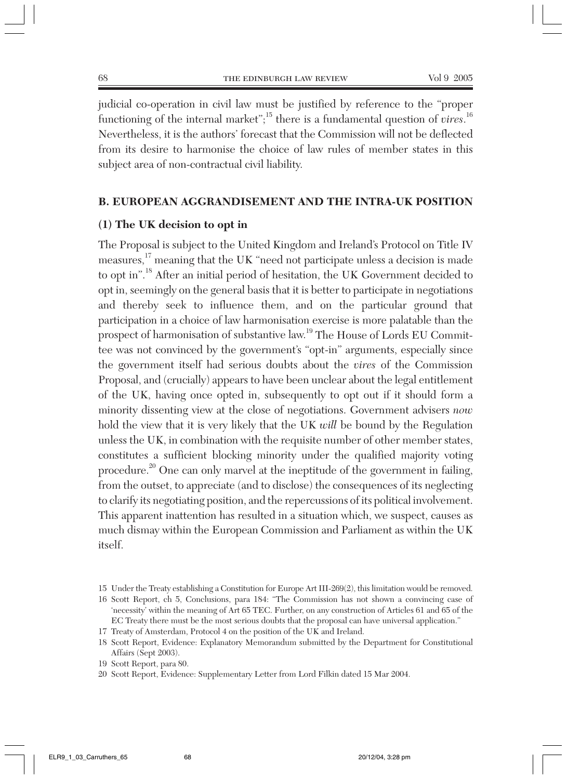judicial co-operation in civil law must be justified by reference to the "proper functioning of the internal market";<sup>15</sup> there is a fundamental question of *vires*.<sup>16</sup> Nevertheless, it is the authors' forecast that the Commission will not be deflected from its desire to harmonise the choice of law rules of member states in this subject area of non-contractual civil liability.

# **B. EUROPEAN AGGRANDISEMENT AND THE INTRA-UK POSITION**

#### **(1) The UK decision to opt in**

The Proposal is subject to the United Kingdom and Ireland's Protocol on Title IV measures,<sup>17</sup> meaning that the UK "need not participate unless a decision is made to opt in".<sup>18</sup> After an initial period of hesitation, the UK Government decided to opt in, seemingly on the general basis that it is better to participate in negotiations and thereby seek to influence them, and on the particular ground that participation in a choice of law harmonisation exercise is more palatable than the prospect of harmonisation of substantive law.19 The House of Lords EU Committee was not convinced by the government's "opt-in" arguments, especially since the government itself had serious doubts about the *vires* of the Commission Proposal, and (crucially) appears to have been unclear about the legal entitlement of the UK, having once opted in, subsequently to opt out if it should form a minority dissenting view at the close of negotiations. Government advisers *now* hold the view that it is very likely that the UK *will* be bound by the Regulation unless the UK, in combination with the requisite number of other member states, constitutes a sufficient blocking minority under the qualified majority voting procedure.<sup>20</sup> One can only marvel at the ineptitude of the government in failing, from the outset, to appreciate (and to disclose) the consequences of its neglecting to clarify its negotiating position, and the repercussions of its political involvement. This apparent inattention has resulted in a situation which, we suspect, causes as much dismay within the European Commission and Parliament as within the UK itself.

<sup>15</sup> Under the Treaty establishing a Constitution for Europe Art III-269(2), this limitation would be removed.

<sup>16</sup> Scott Report, ch 5, Conclusions, para 184: "The Commission has not shown a convincing case of 'necessity' within the meaning of Art 65 TEC. Further, on any construction of Articles 61 and 65 of the EC Treaty there must be the most serious doubts that the proposal can have universal application."

<sup>17</sup> Treaty of Amsterdam, Protocol 4 on the position of the UK and Ireland.

<sup>18</sup> Scott Report, Evidence: Explanatory Memorandum submitted by the Department for Constitutional Affairs (Sept 2003).

<sup>19</sup> Scott Report, para 80.

<sup>20</sup> Scott Report, Evidence: Supplementary Letter from Lord Filkin dated 15 Mar 2004.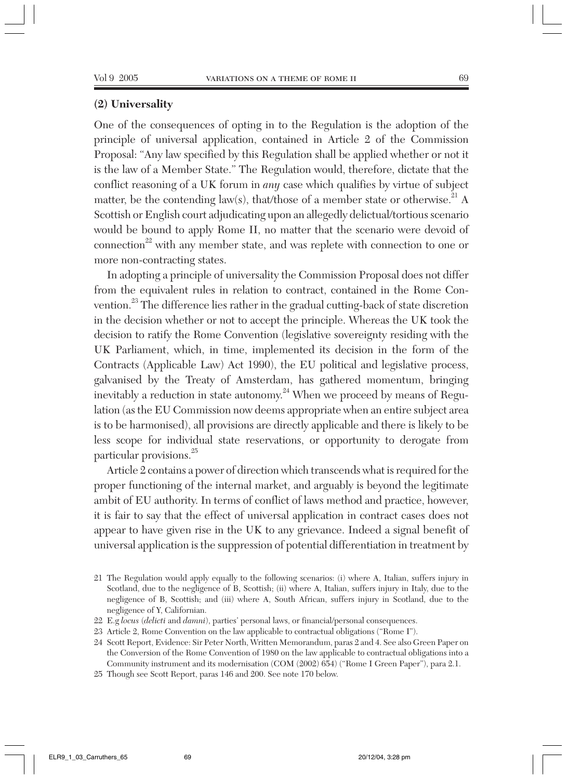#### **(2) Universality**

One of the consequences of opting in to the Regulation is the adoption of the principle of universal application, contained in Article 2 of the Commission Proposal: "Any law specified by this Regulation shall be applied whether or not it is the law of a Member State." The Regulation would, therefore, dictate that the conflict reasoning of a UK forum in *any* case which qualifies by virtue of subject matter, be the contending law(s), that/those of a member state or otherwise.<sup>21</sup> A Scottish or English court adjudicating upon an allegedly delictual/tortious scenario would be bound to apply Rome II, no matter that the scenario were devoid of  $connection<sup>22</sup>$  with any member state, and was replete with connection to one or more non-contracting states.

In adopting a principle of universality the Commission Proposal does not differ from the equivalent rules in relation to contract, contained in the Rome Convention.23 The difference lies rather in the gradual cutting-back of state discretion in the decision whether or not to accept the principle. Whereas the UK took the decision to ratify the Rome Convention (legislative sovereignty residing with the UK Parliament, which, in time, implemented its decision in the form of the Contracts (Applicable Law) Act 1990), the EU political and legislative process, galvanised by the Treaty of Amsterdam, has gathered momentum, bringing inevitably a reduction in state autonomy.<sup>24</sup> When we proceed by means of Regulation (as the EU Commission now deems appropriate when an entire subject area is to be harmonised), all provisions are directly applicable and there is likely to be less scope for individual state reservations, or opportunity to derogate from particular provisions.25

Article 2 contains a power of direction which transcends what is required for the proper functioning of the internal market, and arguably is beyond the legitimate ambit of EU authority. In terms of conflict of laws method and practice, however, it is fair to say that the effect of universal application in contract cases does not appear to have given rise in the UK to any grievance. Indeed a signal benefit of universal application is the suppression of potential differentiation in treatment by

<sup>21</sup> The Regulation would apply equally to the following scenarios: (i) where A, Italian, suffers injury in Scotland, due to the negligence of B, Scottish; (ii) where A, Italian, suffers injury in Italy, due to the negligence of B, Scottish; and (iii) where A, South African, suffers injury in Scotland, due to the negligence of Y, Californian.

<sup>22</sup> E.g *locus* (*delicti* and *damni*), parties' personal laws, or financial/personal consequences.

<sup>23</sup> Article 2, Rome Convention on the law applicable to contractual obligations ("Rome I").

<sup>24</sup> Scott Report, Evidence: Sir Peter North, Written Memorandum, paras 2 and 4. See also Green Paper on the Conversion of the Rome Convention of 1980 on the law applicable to contractual obligations into a Community instrument and its modernisation (COM (2002) 654) ("Rome I Green Paper"), para 2.1.

<sup>25</sup> Though see Scott Report, paras 146 and 200. See note 170 below.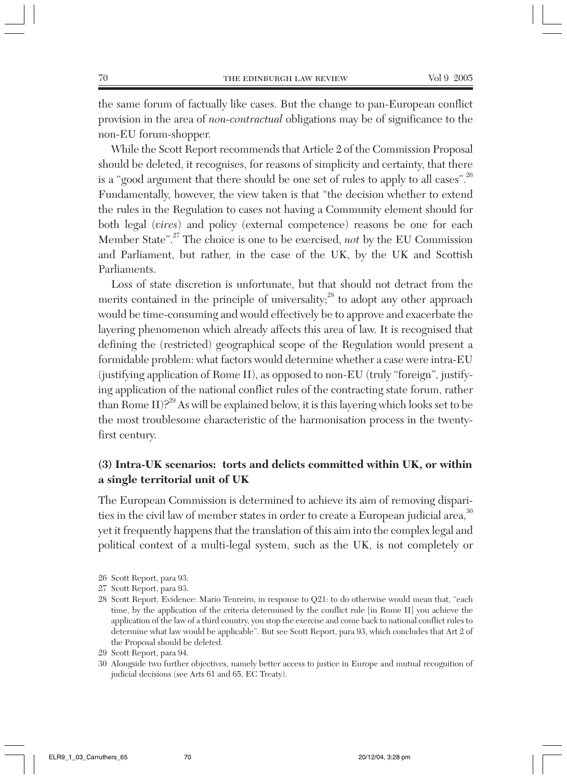the same forum of factually like cases. But the change to pan-European conflict provision in the area of *non-contractual* obligations may be of significance to the non-EU forum-shopper.

While the Scott Report recommends that Article 2 of the Commission Proposal should be deleted, it recognises, for reasons of simplicity and certainty, that there is a "good argument that there should be one set of rules to apply to all cases".<sup>26</sup> Fundamentally, however, the view taken is that "the decision whether to extend the rules in the Regulation to cases not having a Community element should for both legal (*vires*) and policy (external competence) reasons be one for each Member State".<sup>27</sup> The choice is one to be exercised, *not* by the EU Commission and Parliament, but rather, in the case of the UK, by the UK and Scottish Parliaments.

Loss of state discretion is unfortunate, but that should not detract from the merits contained in the principle of universality; $^{28}$  to adopt any other approach would be time-consuming and would effectively be to approve and exacerbate the layering phenomenon which already affects this area of law. It is recognised that defining the (restricted) geographical scope of the Regulation would present a formidable problem: what factors would determine whether a case were intra-EU (justifying application of Rome II), as opposed to non-EU (truly "foreign", justifying application of the national conflict rules of the contracting state forum, rather than Rome II)? $^{29}$  As will be explained below, it is this layering which looks set to be the most troublesome characteristic of the harmonisation process in the twentyfirst century.

# **(3) Intra-UK scenarios: torts and delicts committed within UK, or within a single territorial unit of UK**

The European Commission is determined to achieve its aim of removing disparities in the civil law of member states in order to create a European judicial area,<sup>30</sup> yet it frequently happens that the translation of this aim into the complex legal and political context of a multi-legal system, such as the UK, is not completely or

- 27 Scott Report, para 93.
- 28 Scott Report, Evidence: Mario Tenreiro, in response to Q21: to do otherwise would mean that, "each time, by the application of the criteria determined by the conflict rule [in Rome II] you achieve the application of the law of a third country, you stop the exercise and come back to national conflict rules to determine what law would be applicable". But see Scott Report, para 93, which concludes that Art 2 of the Proposal should be deleted.
- 29 Scott Report, para 94.
- 30 Alongside two further objectives, namely better access to justice in Europe and mutual recognition of judicial decisions (see Arts 61 and 65, EC Treaty).

<sup>26</sup> Scott Report, para 93.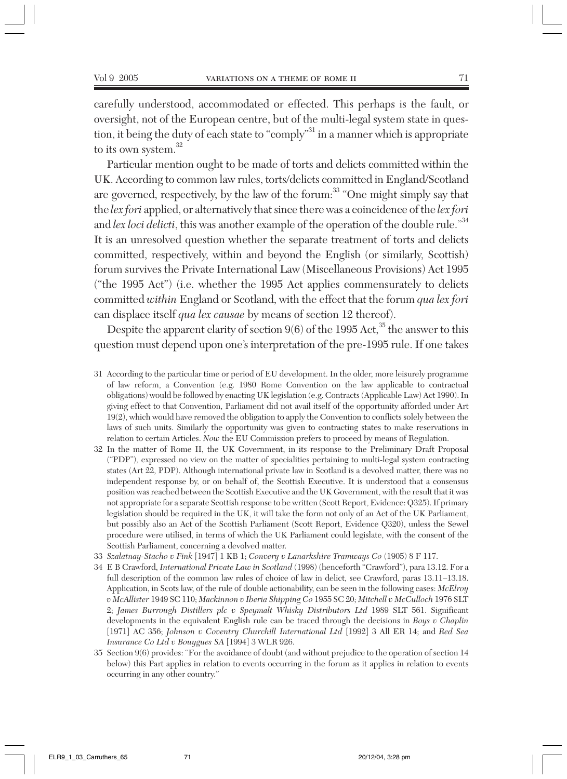carefully understood, accommodated or effected. This perhaps is the fault, or oversight, not of the European centre, but of the multi-legal system state in question, it being the duty of each state to "comply"<sup>31</sup> in a manner which is appropriate to its own system.<sup>32</sup>

Particular mention ought to be made of torts and delicts committed within the UK. According to common law rules, torts/delicts committed in England/Scotland are governed, respectively, by the law of the forum:<sup>33</sup> "One might simply say that the *lex fori* applied, or alternatively that since there was a coincidence of the *lex fori* and *lex loci delicti*, this was another example of the operation of the double rule."<sup>34</sup> It is an unresolved question whether the separate treatment of torts and delicts committed, respectively, within and beyond the English (or similarly, Scottish) forum survives the Private International Law (Miscellaneous Provisions) Act 1995 ("the 1995 Act") (i.e. whether the 1995 Act applies commensurately to delicts committed *within* England or Scotland, with the effect that the forum *qua lex fori* can displace itself *qua lex causae* by means of section 12 thereof).

Despite the apparent clarity of section  $9(6)$  of the 1995 Act,<sup>35</sup> the answer to this question must depend upon one's interpretation of the pre-1995 rule. If one takes

- 31 According to the particular time or period of EU development. In the older, more leisurely programme of law reform, a Convention (e.g. 1980 Rome Convention on the law applicable to contractual obligations) would be followed by enacting UK legislation (e.g. Contracts (Applicable Law) Act 1990). In giving effect to that Convention, Parliament did not avail itself of the opportunity afforded under Art 19(2), which would have removed the obligation to apply the Convention to conflicts solely between the laws of such units. Similarly the opportunity was given to contracting states to make reservations in relation to certain Articles. *Now* the EU Commission prefers to proceed by means of Regulation.
- 32 In the matter of Rome II, the UK Government, in its response to the Preliminary Draft Proposal ("PDP"), expressed no view on the matter of specialities pertaining to multi-legal system contracting states (Art 22, PDP). Although international private law in Scotland is a devolved matter, there was no independent response by, or on behalf of, the Scottish Executive. It is understood that a consensus position was reached between the Scottish Executive and the UK Government, with the result that it was not appropriate for a separate Scottish response to be written (Scott Report, Evidence: Q325). If primary legislation should be required in the UK, it will take the form not only of an Act of the UK Parliament, but possibly also an Act of the Scottish Parliament (Scott Report, Evidence Q320), unless the Sewel procedure were utilised, in terms of which the UK Parliament could legislate, with the consent of the Scottish Parliament, concerning a devolved matter.
- 33 *Szalatnay-Stacho v Fink* [1947] 1 KB 1; *Convery v Lanarkshire Tramways Co* (1905) 8 F 117.
- 34 E B Crawford, *International Private Law in Scotland* (1998) (henceforth "Crawford"), para 13.12. For a full description of the common law rules of choice of law in delict, see Crawford, paras 13.11–13.18. Application, in Scots law, of the rule of double actionability, can be seen in the following cases: *McElroy v McAllister* 1949 SC 110; *Mackinnon v Iberia Shipping Co* 1955 SC 20; *Mitchell v McCulloch* 1976 SLT 2; *James Burrough Distillers plc v Speymalt Whisky Distributors Ltd* 1989 SLT 561. Significant developments in the equivalent English rule can be traced through the decisions in *Boys v Chaplin* [1971] AC 356; *Johnson v Coventry Churchill International Ltd* [1992] 3 All ER 14; and *Red Sea Insurance Co Ltd v Bouygues SA* [1994] 3 WLR 926.
- 35 Section 9(6) provides: "For the avoidance of doubt (and without prejudice to the operation of section 14 below) this Part applies in relation to events occurring in the forum as it applies in relation to events occurring in any other country."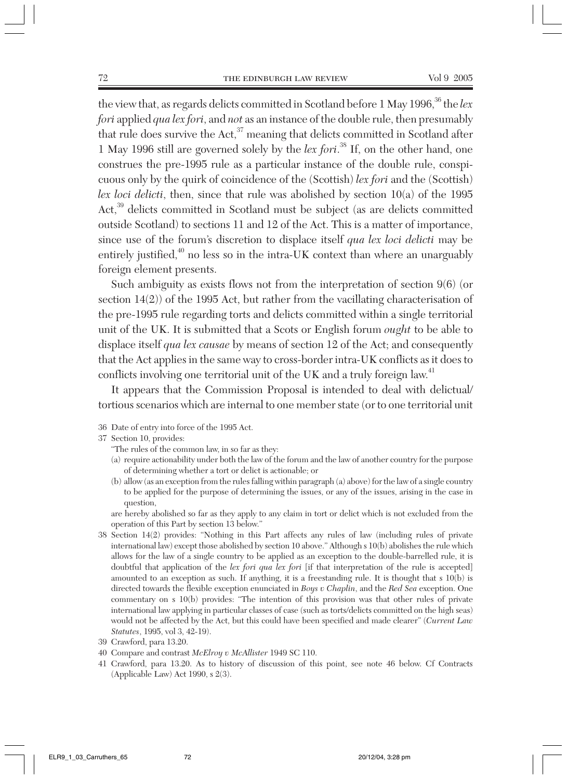the view that, as regards delicts committed in Scotland before 1 May 1996,<sup>36</sup> the *lex fori* applied *qua lex fori*, and *not* as an instance of the double rule, then presumably that rule does survive the Act, $37$  meaning that delicts committed in Scotland after 1 May 1996 still are governed solely by the *lex fori*. <sup>38</sup> If, on the other hand, one construes the pre-1995 rule as a particular instance of the double rule, conspicuous only by the quirk of coincidence of the (Scottish) *lex fori* and the (Scottish) *lex loci delicti*, then, since that rule was abolished by section 10(a) of the 1995 Act,<sup>39</sup> delicts committed in Scotland must be subject (as are delicts committed outside Scotland) to sections 11 and 12 of the Act. This is a matter of importance, since use of the forum's discretion to displace itself *qua lex loci delicti* may be entirely justified, $40$  no less so in the intra-UK context than where an unarguably foreign element presents.

Such ambiguity as exists flows not from the interpretation of section 9(6) (or section 14(2)) of the 1995 Act, but rather from the vacillating characterisation of the pre-1995 rule regarding torts and delicts committed within a single territorial unit of the UK. It is submitted that a Scots or English forum *ought* to be able to displace itself *qua lex causae* by means of section 12 of the Act; and consequently that the Act applies in the same way to cross-border intra-UK conflicts as it does to conflicts involving one territorial unit of the UK and a truly foreign law.<sup>41</sup>

It appears that the Commission Proposal is intended to deal with delictual/ tortious scenarios which are internal to one member state (or to one territorial unit

- 36 Date of entry into force of the 1995 Act.
- 37 Section 10, provides:
	- "The rules of the common law, in so far as they:
	- (a) require actionability under both the law of the forum and the law of another country for the purpose of determining whether a tort or delict is actionable; or
	- (b) allow (as an exception from the rules falling within paragraph (a) above) for the law of a single country to be applied for the purpose of determining the issues, or any of the issues, arising in the case in question,

are hereby abolished so far as they apply to any claim in tort or delict which is not excluded from the operation of this Part by section 13 below."

- 38 Section 14(2) provides: "Nothing in this Part affects any rules of law (including rules of private international law) except those abolished by section 10 above." Although s 10(b) abolishes the rule which allows for the law of a single country to be applied as an exception to the double-barrelled rule, it is doubtful that application of the *lex fori qua lex fori* [if that interpretation of the rule is accepted] amounted to an exception as such. If anything, it is a freestanding rule. It is thought that s 10(b) is directed towards the flexible exception enunciated in *Boys v Chaplin*, and the *Red Sea* exception. One commentary on s 10(b) provides: "The intention of this provision was that other rules of private international law applying in particular classes of case (such as torts/delicts committed on the high seas) would not be affected by the Act, but this could have been specified and made clearer" (*Current Law Statutes*, 1995, vol 3, 42-19).
- 39 Crawford, para 13.20.
- 40 Compare and contrast *McElroy v McAllister* 1949 SC 110.
- 41 Crawford, para 13.20. As to history of discussion of this point, see note 46 below. Cf Contracts (Applicable Law) Act 1990, s 2(3).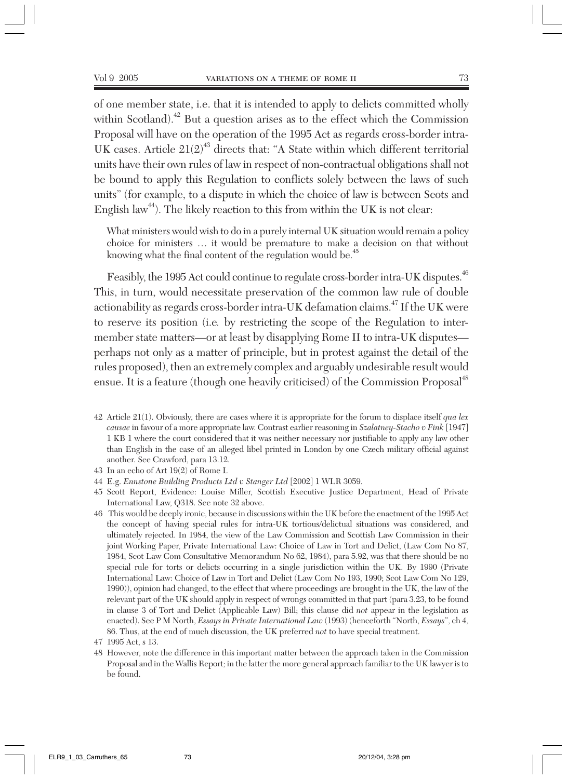of one member state, i.e. that it is intended to apply to delicts committed wholly within Scotland). $^{42}$  But a question arises as to the effect which the Commission Proposal will have on the operation of the 1995 Act as regards cross-border intra-UK cases. Article  $21(2)^{43}$  directs that: "A State within which different territorial units have their own rules of law in respect of non-contractual obligations shall not be bound to apply this Regulation to conflicts solely between the laws of such units" (for example, to a dispute in which the choice of law is between Scots and English law<sup>44</sup>). The likely reaction to this from within the UK is not clear:

What ministers would wish to do in a purely internal UK situation would remain a policy choice for ministers … it would be premature to make a decision on that without knowing what the final content of the regulation would be.<sup>45</sup>

Feasibly, the 1995 Act could continue to regulate cross-border intra-UK disputes.<sup>46</sup> This, in turn, would necessitate preservation of the common law rule of double actionability as regards cross-border intra-UK defamation claims.<sup>47</sup> If the UK were to reserve its position (i.e*.* by restricting the scope of the Regulation to intermember state matters—or at least by disapplying Rome II to intra-UK disputes perhaps not only as a matter of principle, but in protest against the detail of the rules proposed), then an extremely complex and arguably undesirable result would ensue. It is a feature (though one heavily criticised) of the Commission Proposal<sup>48</sup>

- 43 In an echo of Art 19(2) of Rome I.
- 44 E.g. *Ennstone Building Products Ltd v Stanger Ltd* [2002] 1 WLR 3059.
- 45 Scott Report, Evidence: Louise Miller, Scottish Executive Justice Department, Head of Private International Law, Q318. See note 32 above.
- 46 This would be deeply ironic, because in discussions within the UK before the enactment of the 1995 Act the concept of having special rules for intra-UK tortious/delictual situations was considered, and ultimately rejected. In 1984, the view of the Law Commission and Scottish Law Commission in their joint Working Paper, Private International Law: Choice of Law in Tort and Delict, (Law Com No 87, 1984, Scot Law Com Consultative Memorandum No 62, 1984), para 5.92, was that there should be no special rule for torts or delicts occurring in a single jurisdiction within the UK. By 1990 (Private International Law: Choice of Law in Tort and Delict (Law Com No 193, 1990; Scot Law Com No 129, 1990)), opinion had changed, to the effect that where proceedings are brought in the UK, the law of the relevant part of the UK should apply in respect of wrongs committed in that part (para 3.23, to be found in clause 3 of Tort and Delict (Applicable Law) Bill; this clause did *not* appear in the legislation as enacted). See P M North, *Essays in Private International Law* (1993) (henceforth "North, *Essays*", ch 4, 86. Thus, at the end of much discussion, the UK preferred *not* to have special treatment.

48 However, note the difference in this important matter between the approach taken in the Commission Proposal and in the Wallis Report; in the latter the more general approach familiar to the UK lawyer is to be found.

<sup>42</sup> Article 21(1). Obviously, there are cases where it is appropriate for the forum to displace itself *qua lex causae* in favour of a more appropriate law. Contrast earlier reasoning in *Szalatney-Stacho v Fink* [1947] 1 KB 1 where the court considered that it was neither necessary nor justifiable to apply any law other than English in the case of an alleged libel printed in London by one Czech military official against another. See Crawford, para 13.12.

<sup>47 1995</sup> Act, s 13.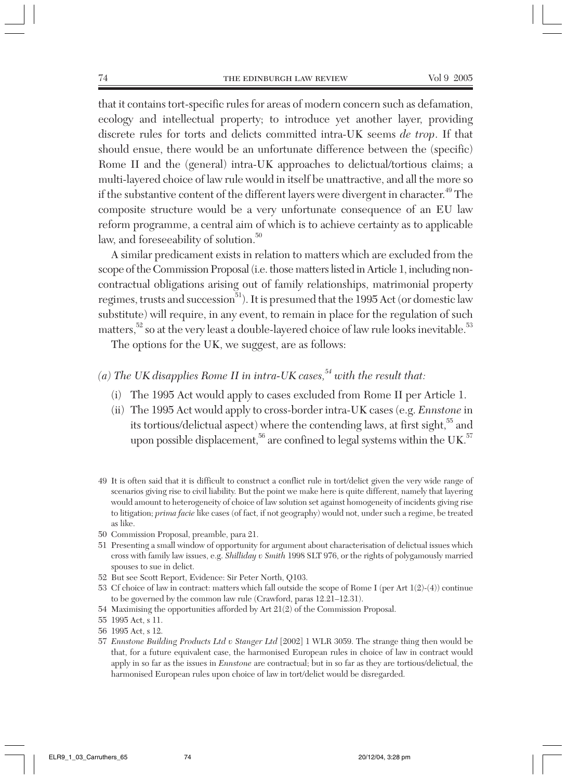that it contains tort-specific rules for areas of modern concern such as defamation, ecology and intellectual property; to introduce yet another layer, providing discrete rules for torts and delicts committed intra-UK seems *de trop*. If that should ensue, there would be an unfortunate difference between the (specific) Rome II and the (general) intra-UK approaches to delictual/tortious claims; a multi-layered choice of law rule would in itself be unattractive, and all the more so if the substantive content of the different layers were divergent in character.<sup>49</sup> The composite structure would be a very unfortunate consequence of an EU law reform programme, a central aim of which is to achieve certainty as to applicable law, and foreseeability of solution.<sup>50</sup>

A similar predicament exists in relation to matters which are excluded from the scope of the Commission Proposal (i.e. those matters listed in Article 1, including noncontractual obligations arising out of family relationships, matrimonial property regimes, trusts and succession<sup>51</sup>). It is presumed that the 1995 Act (or domestic law substitute) will require, in any event, to remain in place for the regulation of such matters,<sup>52</sup> so at the very least a double-layered choice of law rule looks inevitable.<sup>53</sup>

The options for the UK, we suggest, are as follows:

- $(a)$  The UK disapplies Rome II in intra-UK cases,  $54$  with the result that:
	- (i) The 1995 Act would apply to cases excluded from Rome II per Article 1.
	- (ii) The 1995 Act would apply to cross-border intra-UK cases (e.g. *Ennstone* in its tortious/delictual aspect) where the contending laws, at first sight,<sup>55</sup> and upon possible displacement,<sup>56</sup> are confined to legal systems within the UK.<sup>57</sup>
- 49 It is often said that it is difficult to construct a conflict rule in tort/delict given the very wide range of scenarios giving rise to civil liability. But the point we make here is quite different, namely that layering would amount to heterogeneity of choice of law solution set against homogeneity of incidents giving rise to litigation; *prima facie* like cases (of fact, if not geography) would not, under such a regime, be treated as like.
- 50 Commission Proposal, preamble, para 21.
- 51 Presenting a small window of opportunity for argument about characterisation of delictual issues which cross with family law issues, e.g. *Shilliday v Smith* 1998 SLT 976, or the rights of polygamously married spouses to sue in delict.
- 52 But see Scott Report, Evidence: Sir Peter North, Q103.
- 53 Cf choice of law in contract: matters which fall outside the scope of Rome I (per Art 1(2)-(4)) continue to be governed by the common law rule (Crawford, paras 12.21–12.31).
- 54 Maximising the opportunities afforded by Art 21(2) of the Commission Proposal.
- 55 1995 Act, s 11.
- 56 1995 Act, s 12.
- 57 *Ennstone Building Products Ltd v Stanger Ltd* [2002] 1 WLR 3059. The strange thing then would be that, for a future equivalent case, the harmonised European rules in choice of law in contract would apply in so far as the issues in *Ennstone* are contractual; but in so far as they are tortious/delictual, the harmonised European rules upon choice of law in tort/delict would be disregarded.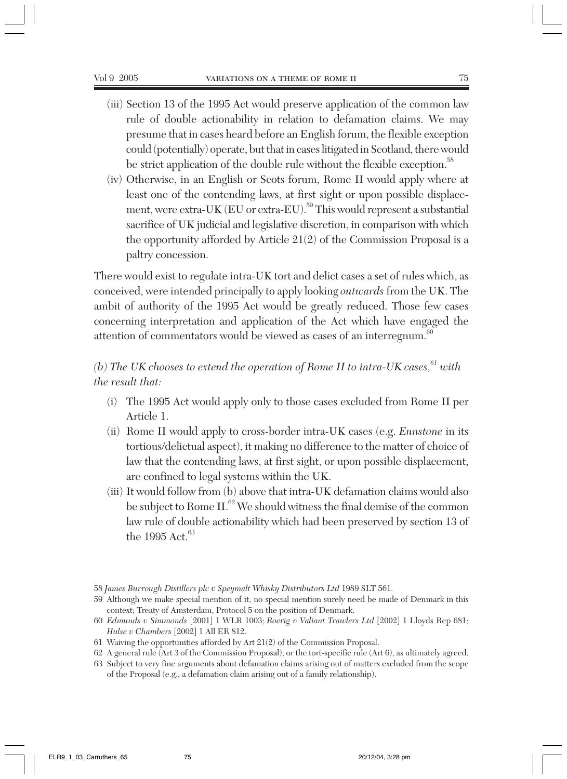- (iii) Section 13 of the 1995 Act would preserve application of the common law rule of double actionability in relation to defamation claims. We may presume that in cases heard before an English forum, the flexible exception could (potentially) operate, but that in cases litigated in Scotland, there would be strict application of the double rule without the flexible exception.<sup>58</sup>
- (iv) Otherwise, in an English or Scots forum, Rome II would apply where at least one of the contending laws, at first sight or upon possible displacement, were extra-UK (EU or extra-EU).<sup>59</sup> This would represent a substantial sacrifice of UK judicial and legislative discretion, in comparison with which the opportunity afforded by Article 21(2) of the Commission Proposal is a paltry concession.

There would exist to regulate intra-UK tort and delict cases a set of rules which, as conceived, were intended principally to apply looking *outwards* from the UK. The ambit of authority of the 1995 Act would be greatly reduced. Those few cases concerning interpretation and application of the Act which have engaged the attention of commentators would be viewed as cases of an interregnum.<sup>60</sup>

# *(b)* The UK chooses to extend the operation of Rome II to intra-UK cases,  $61$  with *the result that:*

- (i) The 1995 Act would apply only to those cases excluded from Rome II per Article 1.
- (ii) Rome II would apply to cross-border intra-UK cases (e.g. *Ennstone* in its tortious/delictual aspect), it making no difference to the matter of choice of law that the contending laws, at first sight, or upon possible displacement, are confined to legal systems within the UK.
- (iii) It would follow from (b) above that intra-UK defamation claims would also be subject to Rome II. $^{62}$  We should witness the final demise of the common law rule of double actionability which had been preserved by section 13 of the 1995 Act. $63$

<sup>58</sup> *James Burrough Distillers plc v Speymalt Whisky Distributors Ltd* 1989 SLT 561.

<sup>59</sup> Although we make special mention of it, no special mention surely need be made of Denmark in this context; Treaty of Amsterdam, Protocol 5 on the position of Denmark.

<sup>60</sup> *Edmunds v Simmonds* [2001] 1 WLR 1003; *Roerig v Valiant Trawlers Ltd* [2002] 1 Lloyds Rep 681; *Hulse v Chambers* [2002] 1 All ER 812.

<sup>61</sup> Waiving the opportunities afforded by Art 21(2) of the Commission Proposal.

<sup>62</sup> A general rule (Art 3 of the Commission Proposal), or the tort-specific rule (Art 6), as ultimately agreed.

<sup>63</sup> Subject to very fine arguments about defamation claims arising out of matters excluded from the scope of the Proposal (e.g., a defamation claim arising out of a family relationship).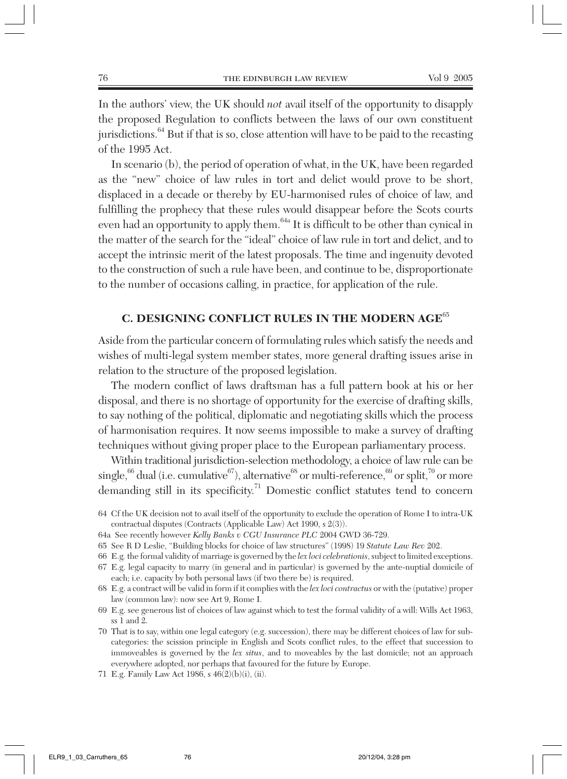In the authors' view, the UK should *not* avail itself of the opportunity to disapply the proposed Regulation to conflicts between the laws of our own constituent jurisdictions.64 But if that is so, close attention will have to be paid to the recasting of the 1995 Act.

In scenario (b), the period of operation of what, in the UK, have been regarded as the "new" choice of law rules in tort and delict would prove to be short, displaced in a decade or thereby by EU-harmonised rules of choice of law, and fulfilling the prophecy that these rules would disappear before the Scots courts even had an opportunity to apply them.<sup>64a</sup> It is difficult to be other than cynical in the matter of the search for the "ideal" choice of law rule in tort and delict, and to accept the intrinsic merit of the latest proposals. The time and ingenuity devoted to the construction of such a rule have been, and continue to be, disproportionate to the number of occasions calling, in practice, for application of the rule.

# **C. DESIGNING CONFLICT RULES IN THE MODERN AGE**<sup>65</sup>

Aside from the particular concern of formulating rules which satisfy the needs and wishes of multi-legal system member states, more general drafting issues arise in relation to the structure of the proposed legislation.

The modern conflict of laws draftsman has a full pattern book at his or her disposal, and there is no shortage of opportunity for the exercise of drafting skills, to say nothing of the political, diplomatic and negotiating skills which the process of harmonisation requires. It now seems impossible to make a survey of drafting techniques without giving proper place to the European parliamentary process.

Within traditional jurisdiction-selection methodology, a choice of law rule can be single, $^{66}$  dual (i.e. cumulative $^{67)}$ ), alternative $^{68}$  or multi-reference, $^{69}$  or split, $^{70}$  or more demanding still in its specificity.<sup>71</sup> Domestic conflict statutes tend to concern

- 64 Cf the UK decision not to avail itself of the opportunity to exclude the operation of Rome I to intra-UK contractual disputes (Contracts (Applicable Law) Act 1990, s 2(3)).
- 64a See recently however *Kelly Banks v CGU Insurance PLC* 2004 GWD 36-729.
- 65 See R D Leslie, "Building blocks for choice of law structures" (1998) 19 *Statute Law Rev* 202.
- 66 E.g*.* the formal validity of marriage is governed by the *lex loci celebrationis*, subject to limited exceptions.

- 68 E.g. a contract will be valid in form if it complies with the *lex loci contractus* or with the (putative) proper law (common law): now see Art 9, Rome I.
- 69 E.g. see generous list of choices of law against which to test the formal validity of a will: Wills Act 1963, ss 1 and 2.
- 70 That is to say, within one legal category (e.g. succession), there may be different choices of law for subcategories: the scission principle in English and Scots conflict rules, to the effect that succession to immoveables is governed by the *lex situs*, and to moveables by the last domicile; not an approach everywhere adopted, nor perhaps that favoured for the future by Europe.
- 71 E.g. Family Law Act 1986, s 46(2)(b)(i), (ii).

<sup>67</sup> E.g. legal capacity to marry (in general and in particular) is governed by the ante-nuptial domicile of each; i.e. capacity by both personal laws (if two there be) is required.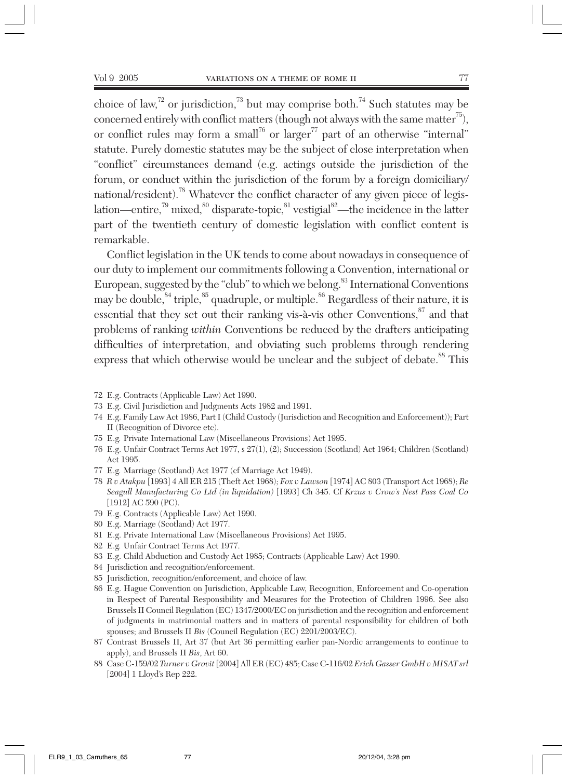choice of law,<sup>72</sup> or jurisdiction,<sup>73</sup> but may comprise both.<sup>74</sup> Such statutes may be concerned entirely with conflict matters (though not always with the same matter<sup>75</sup>), or conflict rules may form a small<sup>76</sup> or larger<sup>77</sup> part of an otherwise "internal" statute. Purely domestic statutes may be the subject of close interpretation when "conflict" circumstances demand (e.g. actings outside the jurisdiction of the forum, or conduct within the jurisdiction of the forum by a foreign domiciliary/ national/resident).<sup>78</sup> Whatever the conflict character of any given piece of legislation—entire,<sup>79</sup> mixed,<sup>80</sup> disparate-topic,<sup>81</sup> vestigial<sup>82</sup>—the incidence in the latter part of the twentieth century of domestic legislation with conflict content is remarkable.

Conflict legislation in the UK tends to come about nowadays in consequence of our duty to implement our commitments following a Convention, international or European, suggested by the "club" to which we belong.<sup>83</sup> International Conventions may be double,  $84$  triple,  $85$  quadruple, or multiple.  $86$  Regardless of their nature, it is essential that they set out their ranking vis-à-vis other Conventions, $87$  and that problems of ranking *within* Conventions be reduced by the drafters anticipating difficulties of interpretation, and obviating such problems through rendering express that which otherwise would be unclear and the subject of debate.<sup>88</sup> This

- 72 E.g. Contracts (Applicable Law) Act 1990.
- 73 E.g. Civil Jurisdiction and Judgments Acts 1982 and 1991.
- 74 E.g. Family Law Act 1986, Part I (Child Custody (Jurisdiction and Recognition and Enforcement)); Part II (Recognition of Divorce etc).
- 75 E.g*.* Private International Law (Miscellaneous Provisions) Act 1995.
- 76 E.g. Unfair Contract Terms Act 1977, s 27(1), (2); Succession (Scotland) Act 1964; Children (Scotland) Act 1995.
- 77 E.g*.* Marriage (Scotland) Act 1977 (cf Marriage Act 1949).
- 78 *R v Atakpu* [1993] 4 All ER 215 (Theft Act 1968); *Fox v Lawson* [1974] AC 803 (Transport Act 1968); *Re Seagull Manufacturing Co Ltd (in liquidation)* [1993] Ch 345. Cf *Krzus v Crow's Nest Pass Coal Co* [1912] AC 590 (PC).
- 79 E.g. Contracts (Applicable Law) Act 1990.
- 80 E.g. Marriage (Scotland) Act 1977.
- 81 E.g. Private International Law (Miscellaneous Provisions) Act 1995.
- 82 E.g*.* Unfair Contract Terms Act 1977.
- 83 E.g. Child Abduction and Custody Act 1985; Contracts (Applicable Law) Act 1990.
- 84 Jurisdiction and recognition/enforcement.
- 85 Jurisdiction, recognition/enforcement, and choice of law.
- 86 E.g. Hague Convention on Jurisdiction, Applicable Law, Recognition, Enforcement and Co-operation in Respect of Parental Responsibility and Measures for the Protection of Children 1996. See also Brussels II Council Regulation (EC) 1347/2000/EC on jurisdiction and the recognition and enforcement of judgments in matrimonial matters and in matters of parental responsibility for children of both spouses; and Brussels II *Bis* (Council Regulation (EC) 2201/2003/EC).
- 87 Contrast Brussels II, Art 37 (but Art 36 permitting earlier pan-Nordic arrangements to continue to apply), and Brussels II *Bis*, Art 60.
- 88 Case C-159/02 *Turner v Grovit* [2004] All ER (EC) 485; Case C-116/02 *Erich Gasser GmbH v MISAT srl* [2004] 1 Lloyd's Rep 222.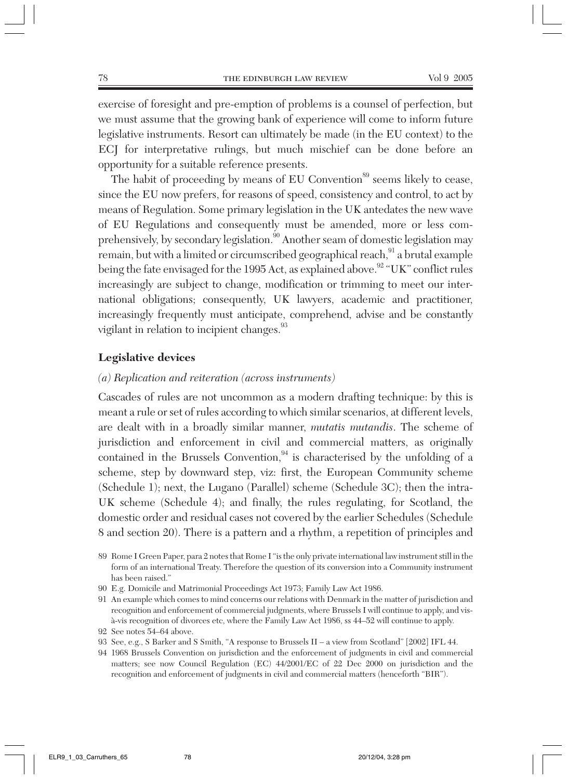exercise of foresight and pre-emption of problems is a counsel of perfection, but we must assume that the growing bank of experience will come to inform future legislative instruments. Resort can ultimately be made (in the EU context) to the ECJ for interpretative rulings, but much mischief can be done before an opportunity for a suitable reference presents.

The habit of proceeding by means of EU Convention<sup>89</sup> seems likely to cease, since the EU now prefers, for reasons of speed, consistency and control, to act by means of Regulation. Some primary legislation in the UK antedates the new wave of EU Regulations and consequently must be amended, more or less comprehensively, by secondary legislation.<sup>90</sup> Another seam of domestic legislation may remain, but with a limited or circumscribed geographical reach,<sup>91</sup> a brutal example being the fate envisaged for the 1995 Act, as explained above.<sup>92</sup> "UK" conflict rules increasingly are subject to change, modification or trimming to meet our international obligations; consequently, UK lawyers, academic and practitioner, increasingly frequently must anticipate, comprehend, advise and be constantly vigilant in relation to incipient changes.<sup>93</sup>

#### **Legislative devices**

#### *(a) Replication and reiteration (across instruments)*

Cascades of rules are not uncommon as a modern drafting technique: by this is meant a rule or set of rules according to which similar scenarios, at different levels, are dealt with in a broadly similar manner, *mutatis mutandis*. The scheme of jurisdiction and enforcement in civil and commercial matters, as originally contained in the Brussels Convention, $94$  is characterised by the unfolding of a scheme, step by downward step, viz: first, the European Community scheme (Schedule 1); next, the Lugano (Parallel) scheme (Schedule 3C); then the intra-UK scheme (Schedule 4); and finally, the rules regulating, for Scotland, the domestic order and residual cases not covered by the earlier Schedules (Schedule 8 and section 20). There is a pattern and a rhythm, a repetition of principles and

- 90 E.g. Domicile and Matrimonial Proceedings Act 1973; Family Law Act 1986.
- 91 An example which comes to mind concerns our relations with Denmark in the matter of jurisdiction and recognition and enforcement of commercial judgments, where Brussels I will continue to apply, and visà-vis recognition of divorces etc, where the Family Law Act 1986, ss 44–52 will continue to apply.

- 93 See, e.g., S Barker and S Smith, "A response to Brussels II a view from Scotland" [2002] IFL 44.
- 94 1968 Brussels Convention on jurisdiction and the enforcement of judgments in civil and commercial matters; see now Council Regulation (EC) 44/2001/EC of 22 Dec 2000 on jurisdiction and the recognition and enforcement of judgments in civil and commercial matters (henceforth "BIR").

<sup>89</sup> Rome I Green Paper, para 2 notes that Rome I "is the only private international law instrument still in the form of an international Treaty. Therefore the question of its conversion into a Community instrument has been raised."

<sup>92</sup> See notes 54–64 above.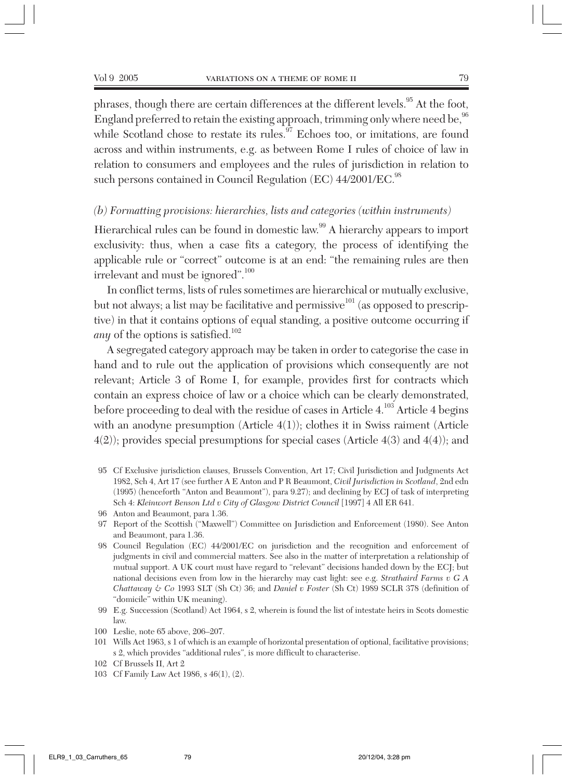phrases, though there are certain differences at the different levels.<sup>95</sup> At the foot, England preferred to retain the existing approach, trimming only where need be, <sup>96</sup> while Scotland chose to restate its rules. $97$  Echoes too, or imitations, are found across and within instruments, e.g. as between Rome I rules of choice of law in relation to consumers and employees and the rules of jurisdiction in relation to such persons contained in Council Regulation (EC) 44/2001/EC.<sup>98</sup>

#### *(b) Formatting provisions: hierarchies, lists and categories (within instruments)*

Hierarchical rules can be found in domestic law.<sup>99</sup> A hierarchy appears to import exclusivity: thus, when a case fits a category, the process of identifying the applicable rule or "correct" outcome is at an end: "the remaining rules are then irrelevant and must be ignored".  $^{100}$ 

In conflict terms, lists of rules sometimes are hierarchical or mutually exclusive, but not always; a list may be facilitative and permissive $^{101}$  (as opposed to prescriptive) in that it contains options of equal standing, a positive outcome occurring if *any* of the options is satisfied.<sup>102</sup>

A segregated category approach may be taken in order to categorise the case in hand and to rule out the application of provisions which consequently are not relevant; Article 3 of Rome I, for example, provides first for contracts which contain an express choice of law or a choice which can be clearly demonstrated, before proceeding to deal with the residue of cases in Article 4.103 Article 4 begins with an anodyne presumption (Article 4(1)); clothes it in Swiss raiment (Article 4(2)); provides special presumptions for special cases (Article 4(3) and 4(4)); and

95 Cf Exclusive jurisdiction clauses, Brussels Convention, Art 17; Civil Jurisdiction and Judgments Act 1982, Sch 4, Art 17 (see further A E Anton and P R Beaumont, *Civil Jurisdiction in Scotland*, 2nd edn (1995) (henceforth "Anton and Beaumont"), para 9.27); and declining by ECJ of task of interpreting Sch 4: *Kleinwort Benson Ltd v City of Glasgow District Council* [1997] 4 All ER 641.

- 97 Report of the Scottish ("Maxwell") Committee on Jurisdiction and Enforcement (1980). See Anton and Beaumont, para 1.36.
- 98 Council Regulation (EC) 44/2001/EC on jurisdiction and the recognition and enforcement of judgments in civil and commercial matters. See also in the matter of interpretation a relationship of mutual support. A UK court must have regard to "relevant" decisions handed down by the ECJ; but national decisions even from low in the hierarchy may cast light: see e.g. *Strathaird Farms v G A Chattaway & Co* 1993 SLT (Sh Ct) 36; and *Daniel v Foster* (Sh Ct) 1989 SCLR 378 (definition of "domicile" within UK meaning).
- 99 E.g. Succession (Scotland) Act 1964, s 2, wherein is found the list of intestate heirs in Scots domestic law.
- 100 Leslie, note 65 above, 206–207.
- 101 Wills Act 1963, s 1 of which is an example of horizontal presentation of optional, facilitative provisions; s 2, which provides "additional rules", is more difficult to characterise.
- 102 Cf Brussels II, Art 2
- 103 Cf Family Law Act 1986, s 46(1), (2).

<sup>96</sup> Anton and Beaumont, para 1.36.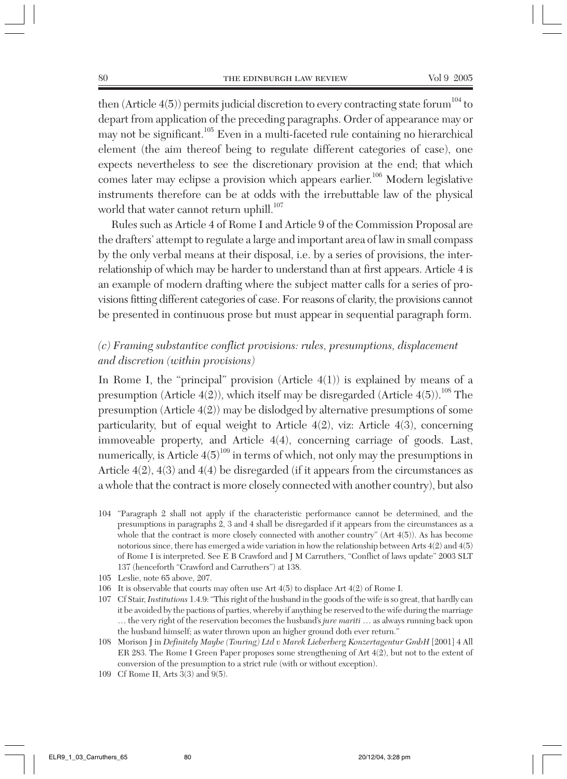then (Article  $4(5)$ ) permits judicial discretion to every contracting state forum<sup>104</sup> to depart from application of the preceding paragraphs. Order of appearance may or may not be significant.105 Even in a multi-faceted rule containing no hierarchical element (the aim thereof being to regulate different categories of case), one expects nevertheless to see the discretionary provision at the end; that which comes later may eclipse a provision which appears earlier.<sup>106</sup> Modern legislative instruments therefore can be at odds with the irrebuttable law of the physical world that water cannot return uphill. $107$ 

Rules such as Article 4 of Rome I and Article 9 of the Commission Proposal are the drafters' attempt to regulate a large and important area of law in small compass by the only verbal means at their disposal, i.e. by a series of provisions, the interrelationship of which may be harder to understand than at first appears. Article 4 is an example of modern drafting where the subject matter calls for a series of provisions fitting different categories of case. For reasons of clarity, the provisions cannot be presented in continuous prose but must appear in sequential paragraph form.

# *(c) Framing substantive conflict provisions: rules, presumptions, displacement and discretion (within provisions)*

In Rome I, the "principal" provision (Article  $4(1)$ ) is explained by means of a presumption (Article  $4(2)$ ), which itself may be disregarded (Article  $4(5)$ ).<sup>108</sup> The presumption (Article 4(2)) may be dislodged by alternative presumptions of some particularity, but of equal weight to Article 4(2), viz: Article 4(3), concerning immoveable property, and Article 4(4), concerning carriage of goods. Last, numerically, is Article  $4(5)^{109}$  in terms of which, not only may the presumptions in Article 4(2), 4(3) and 4(4) be disregarded (if it appears from the circumstances as a whole that the contract is more closely connected with another country), but also

- 104 "Paragraph 2 shall not apply if the characteristic performance cannot be determined, and the presumptions in paragraphs 2, 3 and 4 shall be disregarded if it appears from the circumstances as a whole that the contract is more closely connected with another country" (Art 4(5)). As has become notorious since, there has emerged a wide variation in how the relationship between Arts 4(2) and 4(5) of Rome I is interpreted. See E B Crawford and J M Carruthers, "Conflict of laws update" 2003 SLT 137 (henceforth "Crawford and Carruthers") at 138.
- 105 Leslie, note 65 above, 207.
- 106 It is observable that courts may often use Art 4(5) to displace Art 4(2) of Rome I.
- 107 Cf Stair, *Institutions* 1.4.9: "This right of the husband in the goods of the wife is so great, that hardly can it be avoided by the pactions of parties, whereby if anything be reserved to the wife during the marriage … the very right of the reservation becomes the husband's *jure mariti* … as always running back upon the husband himself; as water thrown upon an higher ground doth ever return."
- 108 Morison J in *Definitely Maybe (Touring) Ltd v Marek Lieberberg Konzertagentur GmbH* [2001] 4 All ER 283. The Rome I Green Paper proposes some strengthening of Art 4(2), but not to the extent of conversion of the presumption to a strict rule (with or without exception).
- 109 Cf Rome II, Arts 3(3) and 9(5).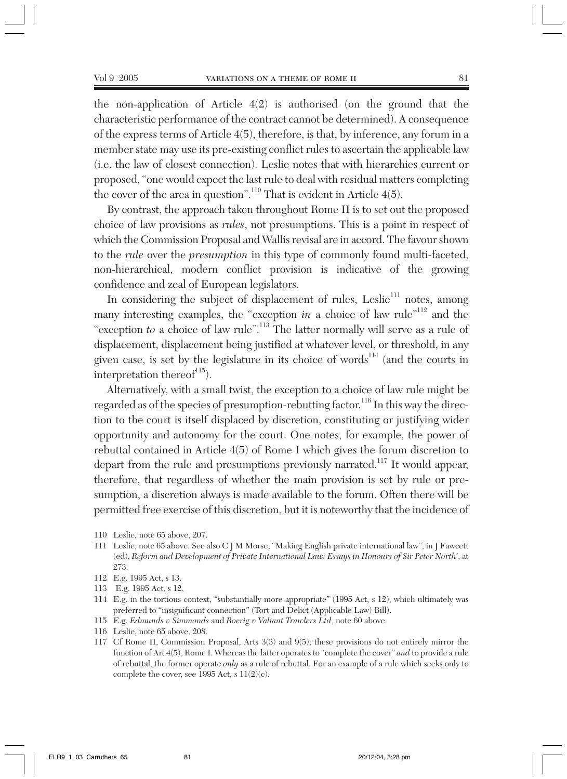the non-application of Article 4(2) is authorised (on the ground that the characteristic performance of the contract cannot be determined). A consequence of the express terms of Article 4(5), therefore, is that, by inference, any forum in a member state may use its pre-existing conflict rules to ascertain the applicable law (i.e. the law of closest connection). Leslie notes that with hierarchies current or proposed, "one would expect the last rule to deal with residual matters completing the cover of the area in question".<sup>110</sup> That is evident in Article  $4(5)$ .

By contrast, the approach taken throughout Rome II is to set out the proposed choice of law provisions as *rules*, not presumptions. This is a point in respect of which the Commission Proposal and Wallis revisal are in accord. The favour shown to the *rule* over the *presumption* in this type of commonly found multi-faceted, non-hierarchical, modern conflict provision is indicative of the growing confidence and zeal of European legislators.

In considering the subject of displacement of rules, Leslie<sup>111</sup> notes, among many interesting examples, the "exception *in* a choice of law rule"<sup>112</sup> and the "exception *to* a choice of law rule".<sup>113</sup> The latter normally will serve as a rule of displacement, displacement being justified at whatever level, or threshold, in any given case, is set by the legislature in its choice of words $^{114}$  (and the courts in interpretation thereof $115$ ).

Alternatively, with a small twist, the exception to a choice of law rule might be regarded as of the species of presumption-rebutting factor.<sup>116</sup> In this way the direction to the court is itself displaced by discretion, constituting or justifying wider opportunity and autonomy for the court. One notes, for example, the power of rebuttal contained in Article 4(5) of Rome I which gives the forum discretion to depart from the rule and presumptions previously narrated.<sup>117</sup> It would appear, therefore, that regardless of whether the main provision is set by rule or presumption, a discretion always is made available to the forum. Often there will be permitted free exercise of this discretion, but it is noteworthy that the incidence of

- 110 Leslie, note 65 above, 207.
- 111 Leslie, note 65 above. See also C J M Morse, "Making English private international law", in J Fawcett (ed), *Reform and Development of Private International Law: Essays in Honours of Sir Peter North*', at 273.
- 112 E.g. 1995 Act, s 13.
- 113 E.g. 1995 Act, s 12,
- 114 E.g. in the tortious context, "substantially more appropriate" (1995 Act, s 12), which ultimately was preferred to "insignificant connection" (Tort and Delict (Applicable Law) Bill).
- 115 E.g. *Edmunds v Simmonds* and *Roerig v Valiant Trawlers Ltd*, note 60 above.
- 116 Leslie, note 65 above, 208.
- 117 Cf Rome II, Commission Proposal, Arts 3(3) and 9(5); these provisions do not entirely mirror the function of Art 4(5), Rome I. Whereas the latter operates to "complete the cover" *and* to provide a rule of rebuttal, the former operate *only* as a rule of rebuttal. For an example of a rule which seeks only to complete the cover, see 1995 Act, s 11(2)(c).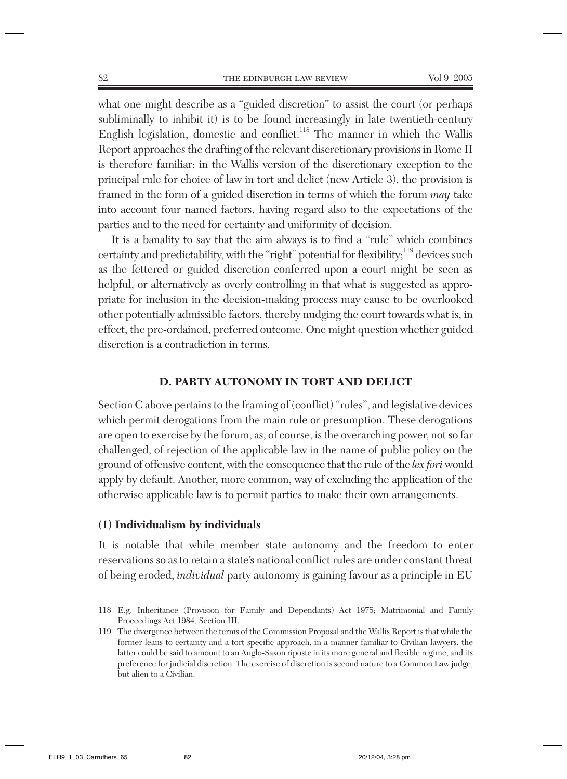what one might describe as a "guided discretion" to assist the court (or perhaps subliminally to inhibit it) is to be found increasingly in late twentieth-century English legislation, domestic and conflict.<sup>118</sup> The manner in which the Wallis Report approaches the drafting of the relevant discretionary provisions in Rome II is therefore familiar; in the Wallis version of the discretionary exception to the principal rule for choice of law in tort and delict (new Article 3), the provision is framed in the form of a guided discretion in terms of which the forum *may* take into account four named factors, having regard also to the expectations of the parties and to the need for certainty and uniformity of decision.

It is a banality to say that the aim always is to find a "rule" which combines certainty and predictability, with the "right" potential for flexibility;<sup>119</sup> devices such as the fettered or guided discretion conferred upon a court might be seen as helpful, or alternatively as overly controlling in that what is suggested as appropriate for inclusion in the decision-making process may cause to be overlooked other potentially admissible factors, thereby nudging the court towards what is, in effect, the pre-ordained, preferred outcome. One might question whether guided discretion is a contradiction in terms.

#### **D. PARTY AUTONOMY IN TORT AND DELICT**

Section C above pertains to the framing of (conflict) "rules", and legislative devices which permit derogations from the main rule or presumption. These derogations are open to exercise by the forum, as, of course, is the overarching power, not so far challenged, of rejection of the applicable law in the name of public policy on the ground of offensive content, with the consequence that the rule of the *lex fori* would apply by default. Another, more common, way of excluding the application of the otherwise applicable law is to permit parties to make their own arrangements.

#### **(1) Individualism by individuals**

It is notable that while member state autonomy and the freedom to enter reservations so as to retain a state's national conflict rules are under constant threat of being eroded, *individual* party autonomy is gaining favour as a principle in EU

<sup>118</sup> E.g. Inheritance (Provision for Family and Dependants) Act 1975; Matrimonial and Family Proceedings Act 1984, Section III.

<sup>119</sup> The divergence between the terms of the Commission Proposal and the Wallis Report is that while the former leans to certainty and a tort-specific approach, in a manner familiar to Civilian lawyers, the latter could be said to amount to an Anglo-Saxon riposte in its more general and flexible regime, and its preference for judicial discretion. The exercise of discretion is second nature to a Common Law judge, but alien to a Civilian.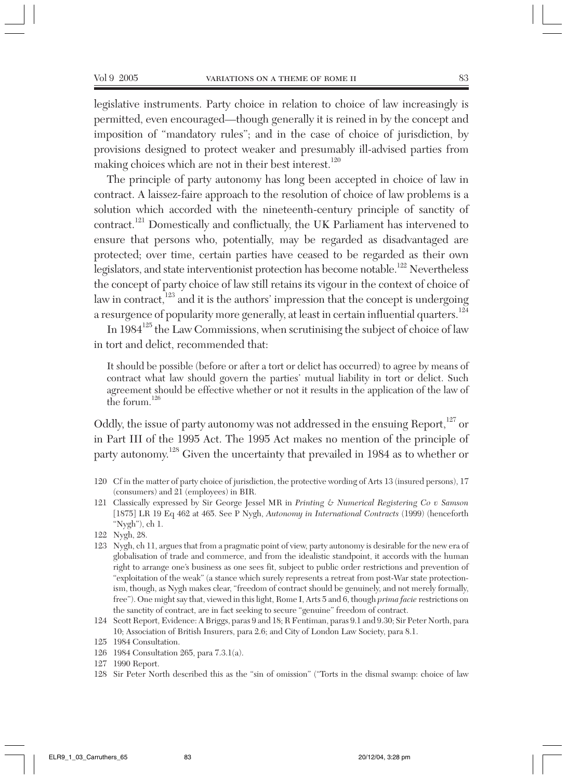legislative instruments. Party choice in relation to choice of law increasingly is permitted, even encouraged—though generally it is reined in by the concept and imposition of "mandatory rules"; and in the case of choice of jurisdiction, by provisions designed to protect weaker and presumably ill-advised parties from making choices which are not in their best interest.<sup>120</sup>

The principle of party autonomy has long been accepted in choice of law in contract. A laissez-faire approach to the resolution of choice of law problems is a solution which accorded with the nineteenth-century principle of sanctity of contract.121 Domestically and conflictually, the UK Parliament has intervened to ensure that persons who, potentially, may be regarded as disadvantaged are protected; over time, certain parties have ceased to be regarded as their own legislators, and state interventionist protection has become notable.<sup>122</sup> Nevertheless the concept of party choice of law still retains its vigour in the context of choice of law in contract, $123$  and it is the authors' impression that the concept is undergoing a resurgence of popularity more generally, at least in certain influential quarters.<sup>124</sup>

In  $1984^{125}$  the Law Commissions, when scrutinising the subject of choice of law in tort and delict, recommended that:

It should be possible (before or after a tort or delict has occurred) to agree by means of contract what law should govern the parties' mutual liability in tort or delict. Such agreement should be effective whether or not it results in the application of the law of the forum.<sup>126</sup>

Oddly, the issue of party autonomy was not addressed in the ensuing Report,<sup>127</sup> or in Part III of the 1995 Act. The 1995 Act makes no mention of the principle of party autonomy.<sup>128</sup> Given the uncertainty that prevailed in 1984 as to whether or

- 120 Cf in the matter of party choice of jurisdiction, the protective wording of Arts 13 (insured persons), 17 (consumers) and 21 (employees) in BIR.
- 121 Classically expressed by Sir George Jessel MR in *Printing & Numerical Registering Co v Samson* [1875] LR 19 Eq 462 at 465. See P Nygh, *Autonomy in International Contracts* (1999) (henceforth "Nygh"), ch 1.
- 122 Nygh, 28.
- 123 Nygh, ch 11, argues that from a pragmatic point of view, party autonomy is desirable for the new era of globalisation of trade and commerce, and from the idealistic standpoint, it accords with the human right to arrange one's business as one sees fit, subject to public order restrictions and prevention of "exploitation of the weak" (a stance which surely represents a retreat from post-War state protectionism, though, as Nygh makes clear, "freedom of contract should be genuinely, and not merely formally, free"). One might say that, viewed in this light, Rome I, Arts 5 and 6, though *prima facie* restrictions on the sanctity of contract, are in fact seeking to secure "genuine" freedom of contract.
- 124 Scott Report, Evidence: A Briggs, paras 9 and 18; R Fentiman, paras 9.1 and 9.30; Sir Peter North, para 10; Association of British Insurers, para 2.6; and City of London Law Society, para 8.1.

- 126 1984 Consultation 265, para 7.3.1(a).
- 127 1990 Report.

<sup>125 1984</sup> Consultation.

<sup>128</sup> Sir Peter North described this as the "sin of omission" ("Torts in the dismal swamp: choice of law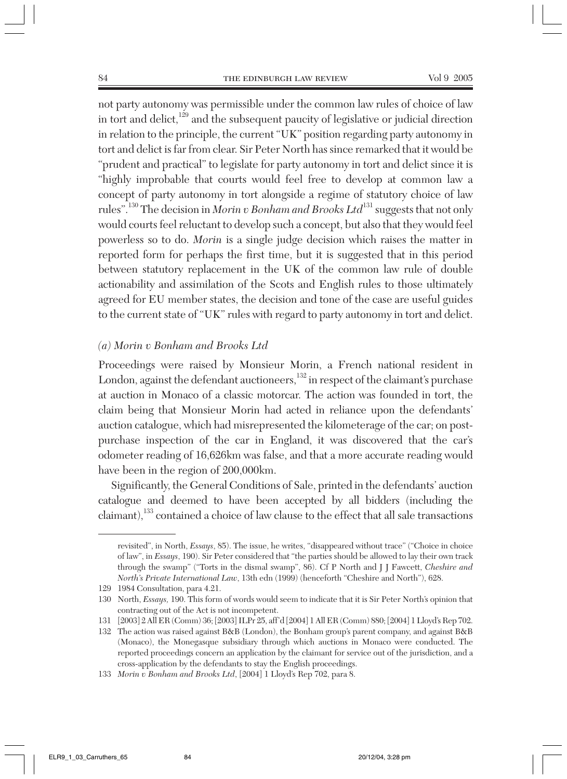not party autonomy was permissible under the common law rules of choice of law in tort and delict, $129$  and the subsequent paucity of legislative or judicial direction in relation to the principle, the current "UK" position regarding party autonomy in tort and delict is far from clear. Sir Peter North has since remarked that it would be "prudent and practical" to legislate for party autonomy in tort and delict since it is "highly improbable that courts would feel free to develop at common law a concept of party autonomy in tort alongside a regime of statutory choice of law rules".<sup>130</sup> The decision in *Morin v Bonham and Brooks Ltd*<sup>131</sup> suggests that not only would courts feel reluctant to develop such a concept, but also that they would feel powerless so to do. *Morin* is a single judge decision which raises the matter in reported form for perhaps the first time, but it is suggested that in this period between statutory replacement in the UK of the common law rule of double actionability and assimilation of the Scots and English rules to those ultimately agreed for EU member states, the decision and tone of the case are useful guides to the current state of "UK" rules with regard to party autonomy in tort and delict.

#### *(a) Morin v Bonham and Brooks Ltd*

Proceedings were raised by Monsieur Morin, a French national resident in London, against the defendant auctioneers, $132$  in respect of the claimant's purchase at auction in Monaco of a classic motorcar. The action was founded in tort, the claim being that Monsieur Morin had acted in reliance upon the defendants' auction catalogue, which had misrepresented the kilometerage of the car; on postpurchase inspection of the car in England, it was discovered that the car's odometer reading of 16,626km was false, and that a more accurate reading would have been in the region of 200,000km.

Significantly, the General Conditions of Sale, printed in the defendants' auction catalogue and deemed to have been accepted by all bidders (including the claimant),<sup>133</sup> contained a choice of law clause to the effect that all sale transactions

revisited", in North, *Essays*, 85). The issue, he writes, "disappeared without trace" ("Choice in choice of law", in *Essays*, 190). Sir Peter considered that "the parties should be allowed to lay their own track through the swamp" ("Torts in the dismal swamp", 86). Cf P North and J J Fawcett, *Cheshire and North's Private International Law*, 13th edn (1999) (henceforth "Cheshire and North"), 628.

<sup>129 1984</sup> Consultation, para 4.21.

<sup>130</sup> North, *Essays,* 190. This form of words would seem to indicate that it is Sir Peter North's opinion that contracting out of the Act is not incompetent.

<sup>131</sup> [2003] 2 All ER (Comm) 36; [2003] ILPr 25, aff'd [2004] 1 All ER (Comm) 880; [2004] 1 Lloyd's Rep 702.

<sup>132</sup> The action was raised against B&B (London), the Bonham group's parent company, and against B&B (Monaco), the Monegasque subsidiary through which auctions in Monaco were conducted. The reported proceedings concern an application by the claimant for service out of the jurisdiction, and a cross-application by the defendants to stay the English proceedings.

<sup>133</sup> *Morin v Bonham and Brooks Ltd*, [2004] 1 Lloyd's Rep 702, para 8.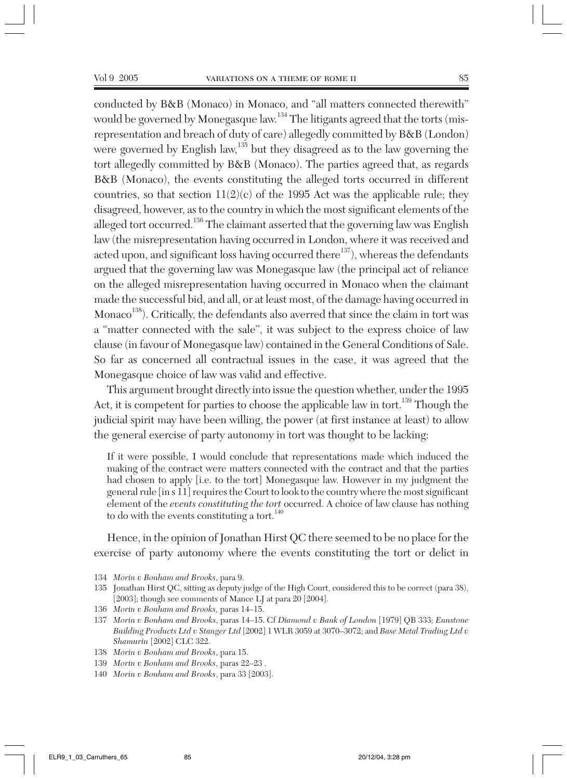conducted by B&B (Monaco) in Monaco, and "all matters connected therewith" would be governed by Monegasque law.<sup>134</sup> The litigants agreed that the torts (misrepresentation and breach of duty of care) allegedly committed by B&B (London) were governed by English law,<sup>135</sup> but they disagreed as to the law governing the tort allegedly committed by B&B (Monaco). The parties agreed that, as regards B&B (Monaco), the events constituting the alleged torts occurred in different countries, so that section  $11(2)(c)$  of the 1995 Act was the applicable rule; they disagreed, however, as to the country in which the most significant elements of the alleged tort occurred.136 The claimant asserted that the governing law was English law (the misrepresentation having occurred in London, where it was received and acted upon, and significant loss having occurred there $^{137}$ ), whereas the defendants argued that the governing law was Monegasque law (the principal act of reliance on the alleged misrepresentation having occurred in Monaco when the claimant made the successful bid, and all, or at least most, of the damage having occurred in  $\rm{Monaco}^{138}$  ). Critically, the defendants also averred that since the claim in tort was a "matter connected with the sale", it was subject to the express choice of law clause (in favour of Monegasque law) contained in the General Conditions of Sale. So far as concerned all contractual issues in the case, it was agreed that the Monegasque choice of law was valid and effective.

This argument brought directly into issue the question whether, under the 1995 Act, it is competent for parties to choose the applicable law in tort.<sup>139</sup> Though the judicial spirit may have been willing, the power (at first instance at least) to allow the general exercise of party autonomy in tort was thought to be lacking:

If it were possible, I would conclude that representations made which induced the making of the contract were matters connected with the contract and that the parties had chosen to apply [i.e. to the tort] Monegasque law. However in my judgment the general rule [in s 11] requires the Court to look to the country where the most significant element of the *events constituting the tort* occurred. A choice of law clause has nothing to do with the events constituting a tort.<sup>140</sup>

Hence, in the opinion of Jonathan Hirst QC there seemed to be no place for the exercise of party autonomy where the events constituting the tort or delict in

- 134 *Morin v Bonham and Brooks*, para 9.
- 135 Jonathan Hirst QC, sitting as deputy judge of the High Court, considered this to be correct (para 38), [2003]; though see comments of Mance LJ at para 20 [2004].
- 136 *Morin v Bonham and Brooks,* paras 14–15.
- 137 *Morin v Bonham and Brooks*, paras 14–15. Cf *Diamond v Bank of London* [1979] QB 333; *Ennstone Building Products Ltd v Stanger Ltd* [2002] 1 WLR 3059 at 3070–3072; and *Base Metal Trading Ltd v Shamurin* [2002] CLC 322.
- 138 *Morin v Bonham and Brooks*, para 15.
- 139 *Morin v Bonham and Brooks*, paras 22–23 .
- 140 *Morin v Bonham and Brooks*, para 33 [2003].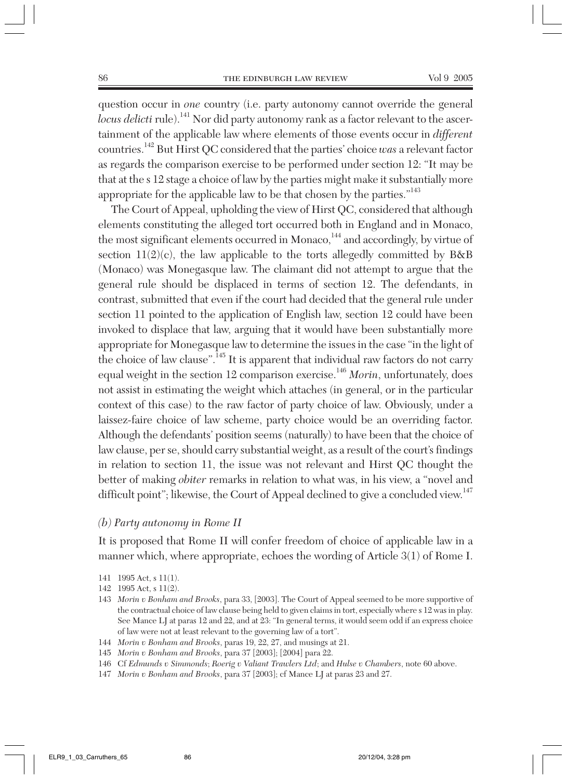question occur in *one* country (i.e. party autonomy cannot override the general *locus delicti* rule).<sup>141</sup> Nor did party autonomy rank as a factor relevant to the ascertainment of the applicable law where elements of those events occur in *different* countries.142 But Hirst QC considered that the parties' choice *was* a relevant factor as regards the comparison exercise to be performed under section 12: "It may be that at the s 12 stage a choice of law by the parties might make it substantially more appropriate for the applicable law to be that chosen by the parties."143

The Court of Appeal, upholding the view of Hirst QC, considered that although elements constituting the alleged tort occurred both in England and in Monaco, the most significant elements occurred in Monaco,<sup>144</sup> and accordingly, by virtue of section  $11(2)(c)$ , the law applicable to the torts allegedly committed by B&B (Monaco) was Monegasque law. The claimant did not attempt to argue that the general rule should be displaced in terms of section 12. The defendants, in contrast, submitted that even if the court had decided that the general rule under section 11 pointed to the application of English law, section 12 could have been invoked to displace that law, arguing that it would have been substantially more appropriate for Monegasque law to determine the issues in the case "in the light of the choice of law clause".145 It is apparent that individual raw factors do not carry equal weight in the section 12 comparison exercise.<sup>146</sup> *Morin*, unfortunately, does not assist in estimating the weight which attaches (in general, or in the particular context of this case) to the raw factor of party choice of law. Obviously, under a laissez-faire choice of law scheme, party choice would be an overriding factor. Although the defendants' position seems (naturally) to have been that the choice of law clause, per se, should carry substantial weight, as a result of the court's findings in relation to section 11, the issue was not relevant and Hirst QC thought the better of making *obiter* remarks in relation to what was, in his view, a "novel and difficult point"; likewise, the Court of Appeal declined to give a concluded view.<sup>147</sup>

#### *(b) Party autonomy in Rome II*

It is proposed that Rome II will confer freedom of choice of applicable law in a manner which, where appropriate, echoes the wording of Article 3(1) of Rome I.

- 142 1995 Act, s 11(2).
- 143 *Morin v Bonham and Brooks*, para 33, [2003]. The Court of Appeal seemed to be more supportive of the contractual choice of law clause being held to given claims in tort, especially where s 12 was in play. See Mance LJ at paras 12 and 22, and at 23: "In general terms, it would seem odd if an express choice of law were not at least relevant to the governing law of a tort".
- 144 *Morin v Bonham and Brooks*, paras 19, 22, 27, and musings at 21.
- 145 *Morin v Bonham and Brooks*, para 37 [2003]; [2004] para 22.
- 146 Cf *Edmunds v Simmonds*; *Roerig v Valiant Trawlers Ltd*; and *Hulse v Chambers*, note 60 above.
- 147 *Morin v Bonham and Brooks*, para 37 [2003]; cf Mance LJ at paras 23 and 27.

<sup>141 1995</sup> Act, s 11(1).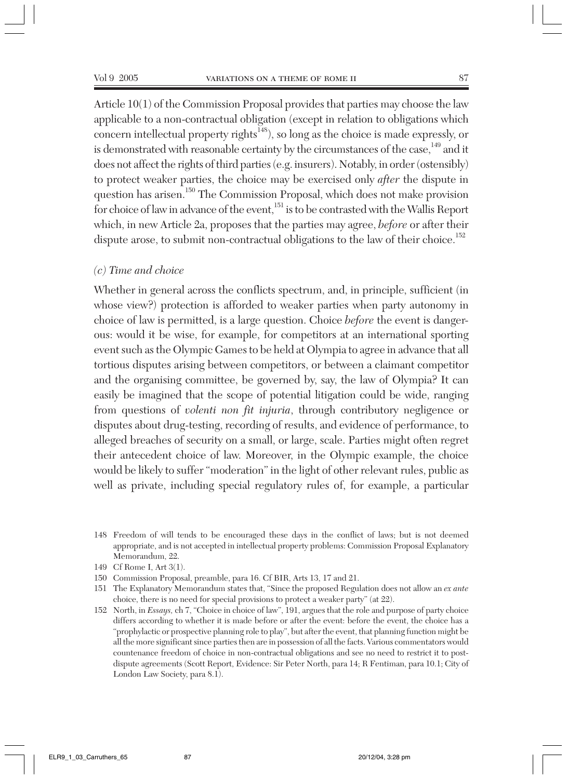Article 10(1) of the Commission Proposal provides that parties may choose the law applicable to a non-contractual obligation (except in relation to obligations which concern intellectual property rights<sup>148</sup>), so long as the choice is made expressly, or is demonstrated with reasonable certainty by the circumstances of the case, $149$  and it does not affect the rights of third parties (e.g. insurers). Notably, in order (ostensibly) to protect weaker parties, the choice may be exercised only *after* the dispute in question has arisen.<sup>150</sup> The Commission Proposal, which does not make provision for choice of law in advance of the event,<sup>151</sup> is to be contrasted with the Wallis Report which, in new Article 2a, proposes that the parties may agree, *before* or after their dispute arose, to submit non-contractual obligations to the law of their choice.<sup>152</sup>

#### *(c) Time and choice*

Whether in general across the conflicts spectrum, and, in principle, sufficient (in whose view?) protection is afforded to weaker parties when party autonomy in choice of law is permitted, is a large question. Choice *before* the event is dangerous: would it be wise, for example, for competitors at an international sporting event such as the Olympic Games to be held at Olympia to agree in advance that all tortious disputes arising between competitors, or between a claimant competitor and the organising committee, be governed by, say, the law of Olympia? It can easily be imagined that the scope of potential litigation could be wide, ranging from questions of *volenti non fit injuria*, through contributory negligence or disputes about drug-testing, recording of results, and evidence of performance, to alleged breaches of security on a small, or large, scale. Parties might often regret their antecedent choice of law. Moreover, in the Olympic example, the choice would be likely to suffer "moderation" in the light of other relevant rules, public as well as private, including special regulatory rules of, for example, a particular

<sup>148</sup> Freedom of will tends to be encouraged these days in the conflict of laws; but is not deemed appropriate, and is not accepted in intellectual property problems: Commission Proposal Explanatory Memorandum, 22.

<sup>149</sup> Cf Rome I, Art 3(1).

<sup>150</sup> Commission Proposal, preamble, para 16. Cf BIR, Arts 13, 17 and 21.

<sup>151</sup> The Explanatory Memorandum states that, "Since the proposed Regulation does not allow an *ex ante* choice, there is no need for special provisions to protect a weaker party" (at 22).

<sup>152</sup> North, in *Essays,* ch 7, "Choice in choice of law", 191, argues that the role and purpose of party choice differs according to whether it is made before or after the event: before the event, the choice has a "prophylactic or prospective planning role to play", but after the event, that planning function might be all the more significant since parties then are in possession of all the facts. Various commentators would countenance freedom of choice in non-contractual obligations and see no need to restrict it to postdispute agreements (Scott Report, Evidence: Sir Peter North, para 14; R Fentiman, para 10.1; City of London Law Society, para 8.1).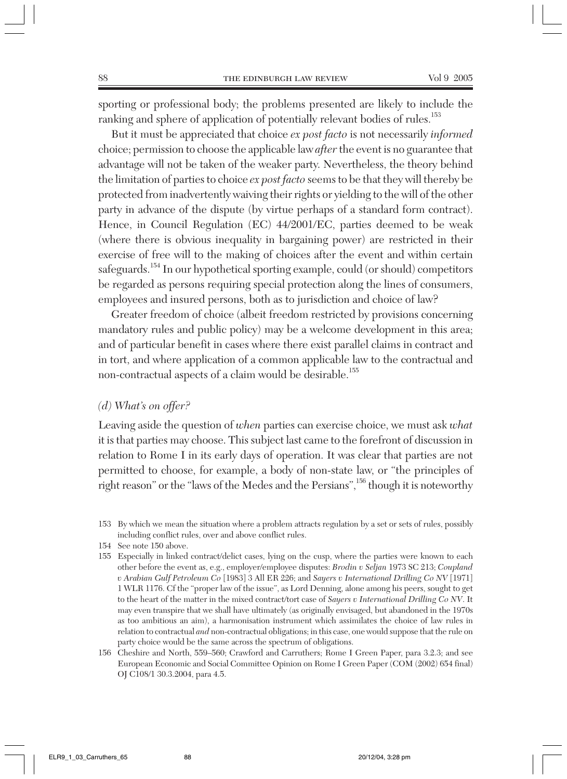sporting or professional body; the problems presented are likely to include the ranking and sphere of application of potentially relevant bodies of rules.<sup>153</sup>

But it must be appreciated that choice *ex post facto* is not necessarily *informed* choice; permission to choose the applicable law *after* the event is no guarantee that advantage will not be taken of the weaker party. Nevertheless, the theory behind the limitation of parties to choice *ex post facto* seems to be that they will thereby be protected from inadvertently waiving their rights or yielding to the will of the other party in advance of the dispute (by virtue perhaps of a standard form contract). Hence, in Council Regulation (EC) 44/2001/EC, parties deemed to be weak (where there is obvious inequality in bargaining power) are restricted in their exercise of free will to the making of choices after the event and within certain safeguards.<sup>154</sup> In our hypothetical sporting example, could (or should) competitors be regarded as persons requiring special protection along the lines of consumers, employees and insured persons, both as to jurisdiction and choice of law?

Greater freedom of choice (albeit freedom restricted by provisions concerning mandatory rules and public policy) may be a welcome development in this area; and of particular benefit in cases where there exist parallel claims in contract and in tort, and where application of a common applicable law to the contractual and non-contractual aspects of a claim would be desirable.155

#### *(d) What's on offer?*

Leaving aside the question of *when* parties can exercise choice, we must ask *what* it is that parties may choose. This subject last came to the forefront of discussion in relation to Rome I in its early days of operation. It was clear that parties are not permitted to choose, for example, a body of non-state law, or "the principles of right reason" or the "laws of the Medes and the Persians",156 though it is noteworthy

<sup>153</sup> By which we mean the situation where a problem attracts regulation by a set or sets of rules, possibly including conflict rules, over and above conflict rules.

<sup>154</sup> See note 150 above.

<sup>155</sup> Especially in linked contract/delict cases, lying on the cusp, where the parties were known to each other before the event as, e.g., employer/employee disputes: *Brodin v Seljan* 1973 SC 213; *Coupland v Arabian Gulf Petroleum Co* [1983] 3 All ER 226; and *Sayers v International Drilling Co NV* [1971] 1 WLR 1176. Cf the "proper law of the issue", as Lord Denning, alone among his peers, sought to get to the heart of the matter in the mixed contract/tort case of *Sayers v International Drilling Co NV*. It may even transpire that we shall have ultimately (as originally envisaged, but abandoned in the 1970s as too ambitious an aim), a harmonisation instrument which assimilates the choice of law rules in relation to contractual *and* non-contractual obligations; in this case, one would suppose that the rule on party choice would be the same across the spectrum of obligations.

<sup>156</sup> Cheshire and North, 559–560; Crawford and Carruthers; Rome I Green Paper, para 3.2.3; and see European Economic and Social Committee Opinion on Rome I Green Paper (COM (2002) 654 final) OJ C108/1 30.3.2004, para 4.5.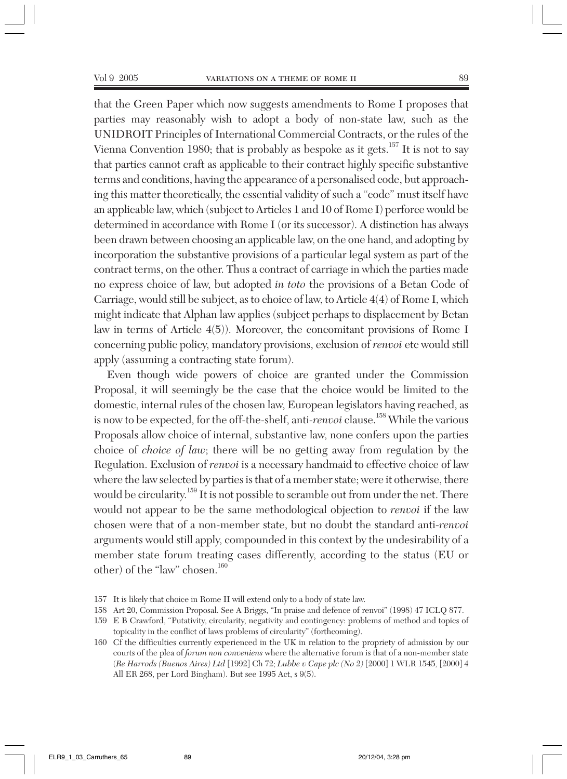that the Green Paper which now suggests amendments to Rome I proposes that parties may reasonably wish to adopt a body of non-state law, such as the UNIDROIT Principles of International Commercial Contracts, or the rules of the Vienna Convention 1980; that is probably as bespoke as it gets.<sup>157</sup> It is not to say that parties cannot craft as applicable to their contract highly specific substantive terms and conditions, having the appearance of a personalised code, but approaching this matter theoretically, the essential validity of such a "code" must itself have an applicable law, which (subject to Articles 1 and 10 of Rome I) perforce would be determined in accordance with Rome I (or its successor). A distinction has always been drawn between choosing an applicable law, on the one hand, and adopting by incorporation the substantive provisions of a particular legal system as part of the contract terms, on the other. Thus a contract of carriage in which the parties made no express choice of law, but adopted *in toto* the provisions of a Betan Code of Carriage, would still be subject, as to choice of law, to Article 4(4) of Rome I, which might indicate that Alphan law applies (subject perhaps to displacement by Betan law in terms of Article 4(5)). Moreover, the concomitant provisions of Rome I concerning public policy, mandatory provisions, exclusion of *renvoi* etc would still apply (assuming a contracting state forum).

Even though wide powers of choice are granted under the Commission Proposal, it will seemingly be the case that the choice would be limited to the domestic, internal rules of the chosen law, European legislators having reached, as is now to be expected, for the off-the-shelf, anti-*renvoi* clause.<sup>158</sup> While the various Proposals allow choice of internal, substantive law, none confers upon the parties choice of *choice of law*; there will be no getting away from regulation by the Regulation. Exclusion of *renvoi* is a necessary handmaid to effective choice of law where the law selected by parties is that of a member state; were it otherwise, there would be circularity.159 It is not possible to scramble out from under the net. There would not appear to be the same methodological objection to *renvoi* if the law chosen were that of a non-member state, but no doubt the standard anti-*renvoi* arguments would still apply, compounded in this context by the undesirability of a member state forum treating cases differently, according to the status (EU or other) of the "law" chosen.<sup>160</sup>

<sup>157</sup> It is likely that choice in Rome II will extend only to a body of state law.

<sup>158</sup> Art 20, Commission Proposal. See A Briggs, "In praise and defence of renvoi" (1998) 47 ICLQ 877.

<sup>159</sup> E B Crawford, "Putativity, circularity, negativity and contingency: problems of method and topics of topicality in the conflict of laws problems of circularity" (forthcoming).

<sup>160</sup> Cf the difficulties currently experienced in the UK in relation to the propriety of admission by our courts of the plea of *forum non conveniens* where the alternative forum is that of a non-member state (*Re Harrods (Buenos Aires) Ltd* [1992] Ch 72; *Lubbe v Cape plc (No 2)* [2000] 1 WLR 1545, [2000] 4 All ER 268, per Lord Bingham). But see 1995 Act, s 9(5).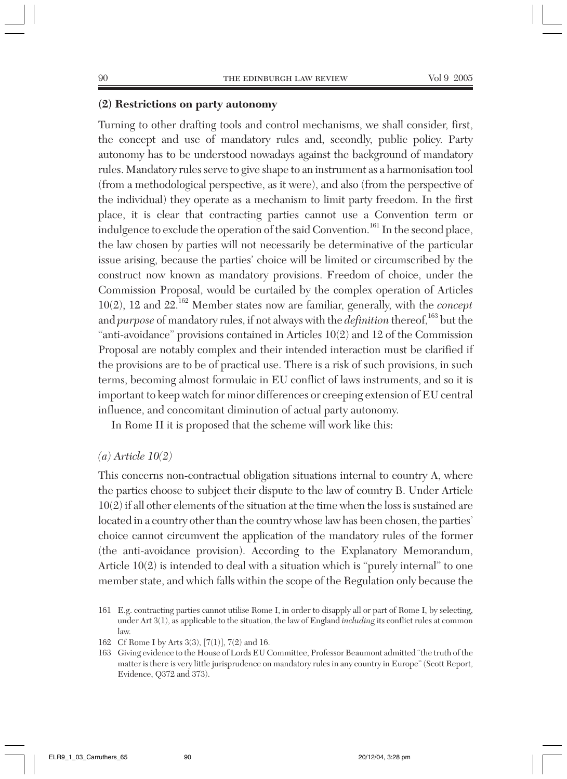#### **(2) Restrictions on party autonomy**

Turning to other drafting tools and control mechanisms, we shall consider, first, the concept and use of mandatory rules and, secondly, public policy. Party autonomy has to be understood nowadays against the background of mandatory rules. Mandatory rules serve to give shape to an instrument as a harmonisation tool (from a methodological perspective, as it were), and also (from the perspective of the individual) they operate as a mechanism to limit party freedom. In the first place, it is clear that contracting parties cannot use a Convention term or indulgence to exclude the operation of the said Convention.<sup>161</sup> In the second place, the law chosen by parties will not necessarily be determinative of the particular issue arising, because the parties' choice will be limited or circumscribed by the construct now known as mandatory provisions. Freedom of choice, under the Commission Proposal, would be curtailed by the complex operation of Articles 10(2), 12 and 22.<sup>162</sup> Member states now are familiar, generally, with the *concept* and *purpose* of mandatory rules, if not always with the *definition* thereof,<sup>163</sup> but the "anti-avoidance" provisions contained in Articles 10(2) and 12 of the Commission Proposal are notably complex and their intended interaction must be clarified if the provisions are to be of practical use. There is a risk of such provisions, in such terms, becoming almost formulaic in EU conflict of laws instruments, and so it is important to keep watch for minor differences or creeping extension of EU central influence, and concomitant diminution of actual party autonomy.

In Rome II it is proposed that the scheme will work like this:

#### *(a) Article 10(2)*

This concerns non-contractual obligation situations internal to country A, where the parties choose to subject their dispute to the law of country B. Under Article 10(2) if all other elements of the situation at the time when the loss is sustained are located in a country other than the country whose law has been chosen, the parties' choice cannot circumvent the application of the mandatory rules of the former (the anti-avoidance provision). According to the Explanatory Memorandum, Article 10(2) is intended to deal with a situation which is "purely internal" to one member state, and which falls within the scope of the Regulation only because the

<sup>161</sup> E.g. contracting parties cannot utilise Rome I, in order to disapply all or part of Rome I, by selecting, under Art 3(1), as applicable to the situation, the law of England *including* its conflict rules at common law.

<sup>162</sup> Cf Rome I by Arts 3(3), [7(1)], 7(2) and 16.

<sup>163</sup> Giving evidence to the House of Lords EU Committee, Professor Beaumont admitted "the truth of the matter is there is very little jurisprudence on mandatory rules in any country in Europe" (Scott Report, Evidence, Q372 and 373).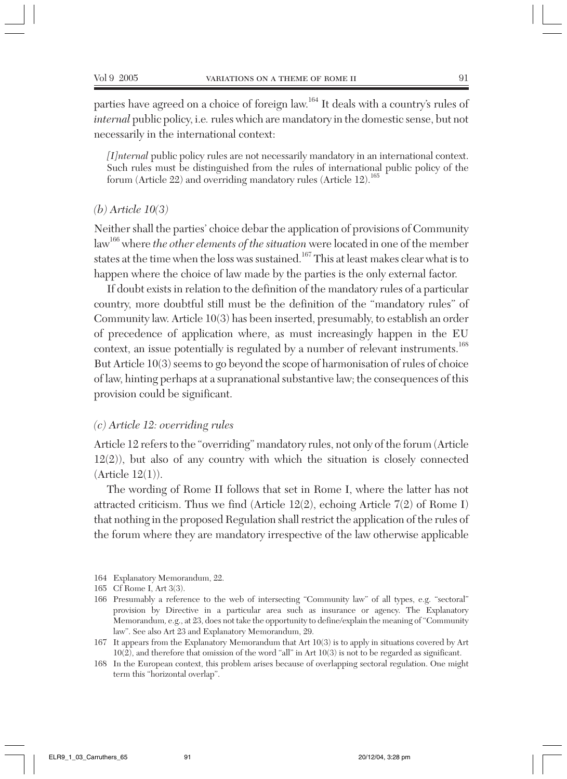parties have agreed on a choice of foreign law.164 It deals with a country's rules of *internal* public policy, i.e*.*rules which are mandatory in the domestic sense, but not necessarily in the international context:

*[I]nternal* public policy rules are not necessarily mandatory in an international context. Such rules must be distinguished from the rules of international public policy of the forum (Article 22) and overriding mandatory rules (Article 12).165

#### *(b) Article 10(3)*

Neither shall the parties' choice debar the application of provisions of Community law166 where *the other elements of the situation* were located in one of the member states at the time when the loss was sustained.<sup>167</sup> This at least makes clear what is to happen where the choice of law made by the parties is the only external factor.

If doubt exists in relation to the definition of the mandatory rules of a particular country, more doubtful still must be the definition of the "mandatory rules" of Community law. Article 10(3) has been inserted, presumably, to establish an order of precedence of application where, as must increasingly happen in the EU context, an issue potentially is regulated by a number of relevant instruments.<sup>168</sup> But Article 10(3) seems to go beyond the scope of harmonisation of rules of choice of law, hinting perhaps at a supranational substantive law; the consequences of this provision could be significant.

#### *(c) Article 12: overriding rules*

Article 12 refers to the "overriding" mandatory rules, not only of the forum (Article 12(2)), but also of any country with which the situation is closely connected  $(A$ rticle  $12(1)$ ).

The wording of Rome II follows that set in Rome I, where the latter has not attracted criticism. Thus we find (Article 12(2), echoing Article 7(2) of Rome I) that nothing in the proposed Regulation shall restrict the application of the rules of the forum where they are mandatory irrespective of the law otherwise applicable

<sup>164</sup> Explanatory Memorandum, 22.

<sup>165</sup> Cf Rome I, Art 3(3).

<sup>166</sup> Presumably a reference to the web of intersecting "Community law" of all types, e.g. "sectoral" provision by Directive in a particular area such as insurance or agency. The Explanatory Memorandum*,* e.g., at 23, does not take the opportunity to define/explain the meaning of "Community law". See also Art 23 and Explanatory Memorandum, 29.

<sup>167</sup> It appears from the Explanatory Memorandum that Art 10(3) is to apply in situations covered by Art 10(2), and therefore that omission of the word "all" in Art 10(3) is not to be regarded as significant.

<sup>168</sup> In the European context, this problem arises because of overlapping sectoral regulation. One might term this "horizontal overlap".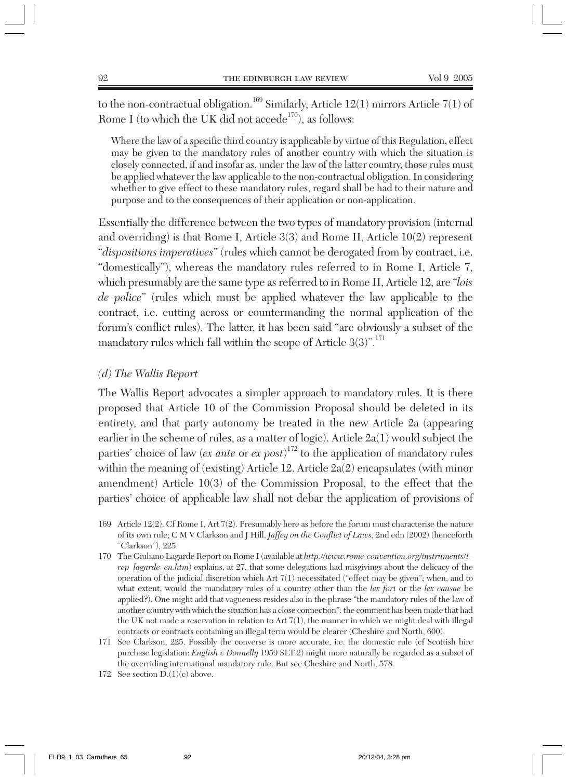to the non-contractual obligation.<sup>169</sup> Similarly, Article 12(1) mirrors Article 7(1) of Rome I (to which the UK did not accede $^{170}$ ), as follows:

Where the law of a specific third country is applicable by virtue of this Regulation, effect may be given to the mandatory rules of another country with which the situation is closely connected, if and insofar as, under the law of the latter country, those rules must be applied whatever the law applicable to the non-contractual obligation. In considering whether to give effect to these mandatory rules, regard shall be had to their nature and purpose and to the consequences of their application or non-application.

Essentially the difference between the two types of mandatory provision (internal and overriding) is that Rome I, Article 3(3) and Rome II, Article 10(2) represent "*dispositions imperatives*" (rules which cannot be derogated from by contract, i.e. "domestically"), whereas the mandatory rules referred to in Rome I, Article 7, which presumably are the same type as referred to in Rome II, Article 12, are "*lois de police*" (rules which must be applied whatever the law applicable to the contract, i.e. cutting across or countermanding the normal application of the forum's conflict rules). The latter, it has been said "are obviously a subset of the mandatory rules which fall within the scope of Article  $3(3)^{\prime\prime}$ .<sup>171</sup>

#### *(d) The Wallis Report*

The Wallis Report advocates a simpler approach to mandatory rules. It is there proposed that Article 10 of the Commission Proposal should be deleted in its entirety, and that party autonomy be treated in the new Article 2a (appearing earlier in the scheme of rules, as a matter of logic). Article 2a(1) would subject the parties' choice of law (*ex ante* or *ex post*) <sup>172</sup> to the application of mandatory rules within the meaning of (existing) Article 12. Article 2a(2) encapsulates (with minor amendment) Article 10(3) of the Commission Proposal, to the effect that the parties' choice of applicable law shall not debar the application of provisions of

- 169 Article 12(2). Cf Rome I, Art 7(2). Presumably here as before the forum must characterise the nature of its own rule; C M V Clarkson and J Hill, *Jaffey on the Conflict of Laws*, 2nd edn (2002) (henceforth "Clarkson"), 225.
- 170 The Giuliano Lagarde Report on Rome I (available at *http://www.rome-convention.org/instruments/i– rep\_lagarde\_en.htm*) explains, at 27, that some delegations had misgivings about the delicacy of the operation of the judicial discretion which Art 7(1) necessitated ("effect may be given"; when, and to what extent, would the mandatory rules of a country other than the *lex fori* or the *lex causae* be applied?). One might add that vagueness resides also in the phrase "the mandatory rules of the law of another country with which the situation has a close connection": the comment has been made that had the UK not made a reservation in relation to Art 7(1), the manner in which we might deal with illegal contracts or contracts containing an illegal term would be clearer (Cheshire and North, 600).
- 171 See Clarkson, 225. Possibly the converse is more accurate, i.e. the domestic rule (cf Scottish hire purchase legislation: *English v Donnelly* 1959 SLT 2) might more naturally be regarded as a subset of the overriding international mandatory rule. But see Cheshire and North, 578.

<sup>172</sup> See section D.(1)(c) above.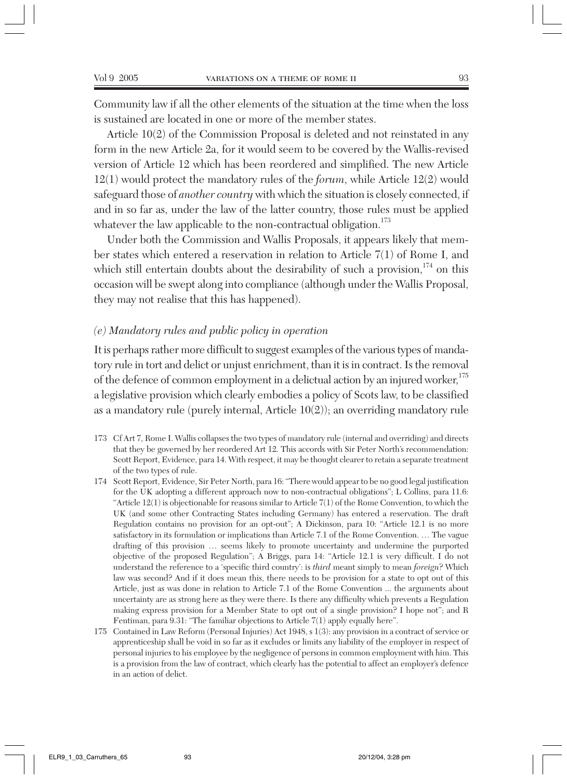Community law if all the other elements of the situation at the time when the loss is sustained are located in one or more of the member states.

Article 10(2) of the Commission Proposal is deleted and not reinstated in any form in the new Article 2a, for it would seem to be covered by the Wallis-revised version of Article 12 which has been reordered and simplified. The new Article 12(1) would protect the mandatory rules of the *forum*, while Article 12(2) would safeguard those of *another country* with which the situation is closely connected, if and in so far as, under the law of the latter country, those rules must be applied whatever the law applicable to the non-contractual obligation.<sup>173</sup>

Under both the Commission and Wallis Proposals, it appears likely that member states which entered a reservation in relation to Article 7(1) of Rome I, and which still entertain doubts about the desirability of such a provision,  $^{174}$  on this occasion will be swept along into compliance (although under the Wallis Proposal, they may not realise that this has happened).

#### *(e) Mandatory rules and public policy in operation*

It is perhaps rather more difficult to suggest examples of the various types of mandatory rule in tort and delict or unjust enrichment, than it is in contract. Is the removal of the defence of common employment in a delictual action by an injured worker,<sup>175</sup> a legislative provision which clearly embodies a policy of Scots law, to be classified as a mandatory rule (purely internal, Article 10(2)); an overriding mandatory rule

- 173 Cf Art 7, Rome I. Wallis collapses the two types of mandatory rule (internal and overriding) and directs that they be governed by her reordered Art 12. This accords with Sir Peter North's recommendation: Scott Report, Evidence, para 14. With respect, it may be thought clearer to retain a separate treatment of the two types of rule.
- 174 Scott Report, Evidence, Sir Peter North, para 16: "There would appear to be no good legal justification for the UK adopting a different approach now to non-contractual obligations"; L Collins, para 11.6: "Article 12(1) is objectionable for reasons similar to Article 7(1) of the Rome Convention, to which the UK (and some other Contracting States including Germany) has entered a reservation. The draft Regulation contains no provision for an opt-out"; A Dickinson, para 10: "Article 12.1 is no more satisfactory in its formulation or implications than Article 7.1 of the Rome Convention. … The vague drafting of this provision … seems likely to promote uncertainty and undermine the purported objective of the proposed Regulation"; A Briggs, para 14: "Article 12.1 is very difficult. I do not understand the reference to a 'specific third country': is *third* meant simply to mean *foreign*? Which law was second? And if it does mean this, there needs to be provision for a state to opt out of this Article, just as was done in relation to Article 7.1 of the Rome Convention ... the arguments about uncertainty are as strong here as they were there. Is there any difficulty which prevents a Regulation making express provision for a Member State to opt out of a single provision? I hope not"; and R Fentiman, para 9.31: "The familiar objections to Article 7(1) apply equally here".
- 175 Contained in Law Reform (Personal Injuries) Act 1948, s 1(3): any provision in a contract of service or apprenticeship shall be void in so far as it excludes or limits any liability of the employer in respect of personal injuries to his employee by the negligence of persons in common employment with him. This is a provision from the law of contract, which clearly has the potential to affect an employer's defence in an action of delict.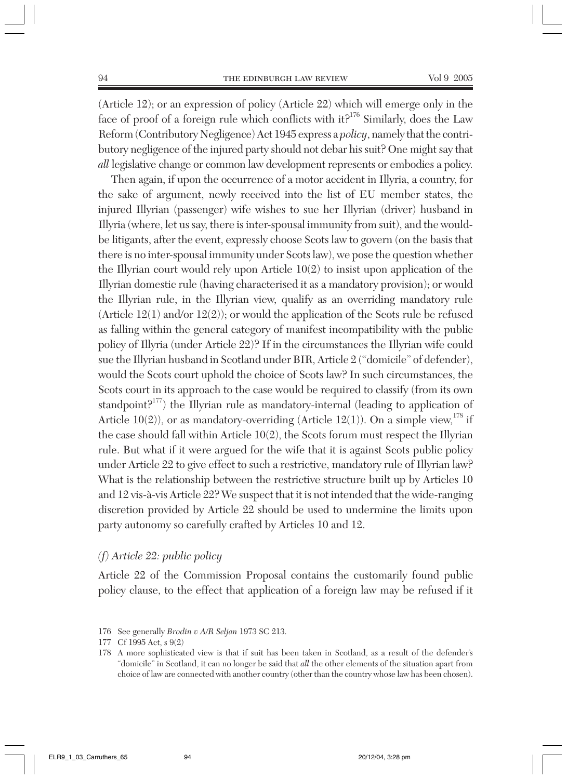(Article 12); or an expression of policy (Article 22) which will emerge only in the face of proof of a foreign rule which conflicts with it?<sup>176</sup> Similarly, does the Law Reform (Contributory Negligence) Act 1945 express a *policy*, namely that the contributory negligence of the injured party should not debar his suit? One might say that *all* legislative change or common law development represents or embodies a policy.

Then again, if upon the occurrence of a motor accident in Illyria, a country, for the sake of argument, newly received into the list of EU member states, the injured Illyrian (passenger) wife wishes to sue her Illyrian (driver) husband in Illyria (where, let us say, there is inter-spousal immunity from suit), and the wouldbe litigants, after the event, expressly choose Scots law to govern (on the basis that there is no inter-spousal immunity under Scots law), we pose the question whether the Illyrian court would rely upon Article 10(2) to insist upon application of the Illyrian domestic rule (having characterised it as a mandatory provision); or would the Illyrian rule, in the Illyrian view, qualify as an overriding mandatory rule (Article 12(1) and/or 12(2)); or would the application of the Scots rule be refused as falling within the general category of manifest incompatibility with the public policy of Illyria (under Article 22)? If in the circumstances the Illyrian wife could sue the Illyrian husband in Scotland under BIR, Article 2 ("domicile" of defender), would the Scots court uphold the choice of Scots law? In such circumstances, the Scots court in its approach to the case would be required to classify (from its own standpoint? $177$ ) the Illyrian rule as mandatory-internal (leading to application of Article 10(2)), or as mandatory-overriding (Article 12(1)). On a simple view,  $^{178}$  if the case should fall within Article 10(2), the Scots forum must respect the Illyrian rule. But what if it were argued for the wife that it is against Scots public policy under Article 22 to give effect to such a restrictive, mandatory rule of Illyrian law? What is the relationship between the restrictive structure built up by Articles 10 and 12 vis-à-vis Article 22? We suspect that it is not intended that the wide-ranging discretion provided by Article 22 should be used to undermine the limits upon party autonomy so carefully crafted by Articles 10 and 12.

# *(f) Article 22: public policy*

Article 22 of the Commission Proposal contains the customarily found public policy clause, to the effect that application of a foreign law may be refused if it

<sup>176</sup> See generally *Brodin v A/R Seljan* 1973 SC 213.

<sup>177</sup> Cf 1995 Act, s 9(2)

<sup>178</sup> A more sophisticated view is that if suit has been taken in Scotland, as a result of the defender's "domicile" in Scotland, it can no longer be said that *all* the other elements of the situation apart from choice of law are connected with another country (other than the country whose law has been chosen).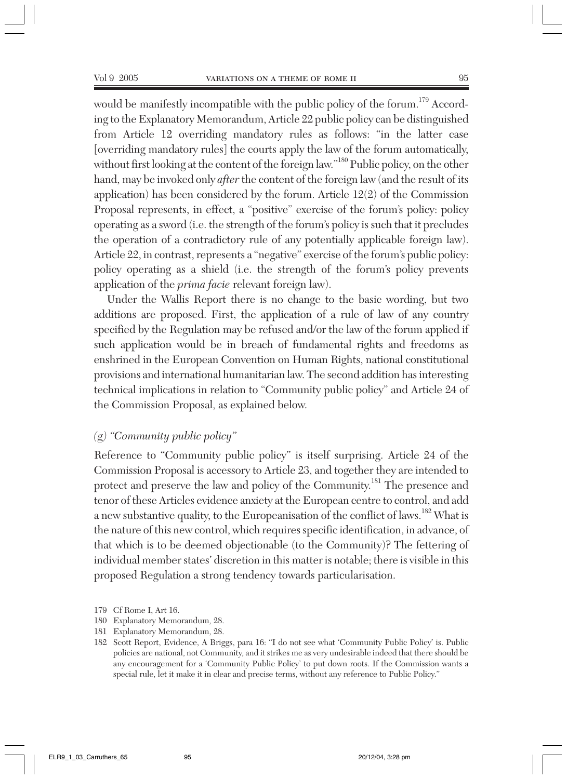would be manifestly incompatible with the public policy of the forum.<sup>179</sup> According to the Explanatory Memorandum, Article 22 public policy can be distinguished from Article 12 overriding mandatory rules as follows: "in the latter case [overriding mandatory rules] the courts apply the law of the forum automatically, without first looking at the content of the foreign law."180 Public policy, on the other hand, may be invoked only *after* the content of the foreign law (and the result of its application) has been considered by the forum. Article 12(2) of the Commission Proposal represents, in effect, a "positive" exercise of the forum's policy: policy operating as a sword (i.e. the strength of the forum's policy is such that it precludes the operation of a contradictory rule of any potentially applicable foreign law). Article 22, in contrast, represents a "negative" exercise of the forum's public policy: policy operating as a shield (i.e. the strength of the forum's policy prevents application of the *prima facie* relevant foreign law).

Under the Wallis Report there is no change to the basic wording, but two additions are proposed. First, the application of a rule of law of any country specified by the Regulation may be refused and/or the law of the forum applied if such application would be in breach of fundamental rights and freedoms as enshrined in the European Convention on Human Rights, national constitutional provisions and international humanitarian law. The second addition has interesting technical implications in relation to "Community public policy" and Article 24 of the Commission Proposal, as explained below.

#### *(g) "Community public policy"*

Reference to "Community public policy" is itself surprising. Article 24 of the Commission Proposal is accessory to Article 23, and together they are intended to protect and preserve the law and policy of the Community.<sup>181</sup> The presence and tenor of these Articles evidence anxiety at the European centre to control, and add a new substantive quality, to the Europeanisation of the conflict of laws.<sup>182</sup> What is the nature of this new control, which requires specific identification, in advance, of that which is to be deemed objectionable (to the Community)? The fettering of individual member states' discretion in this matter is notable; there is visible in this proposed Regulation a strong tendency towards particularisation.

- 180 Explanatory Memorandum, 28.
- 181 Explanatory Memorandum, 28.

<sup>179</sup> Cf Rome I, Art 16.

<sup>182</sup> Scott Report, Evidence, A Briggs, para 16: "I do not see what 'Community Public Policy' is. Public policies are national, not Community, and it strikes me as very undesirable indeed that there should be any encouragement for a 'Community Public Policy' to put down roots. If the Commission wants a special rule, let it make it in clear and precise terms, without any reference to Public Policy."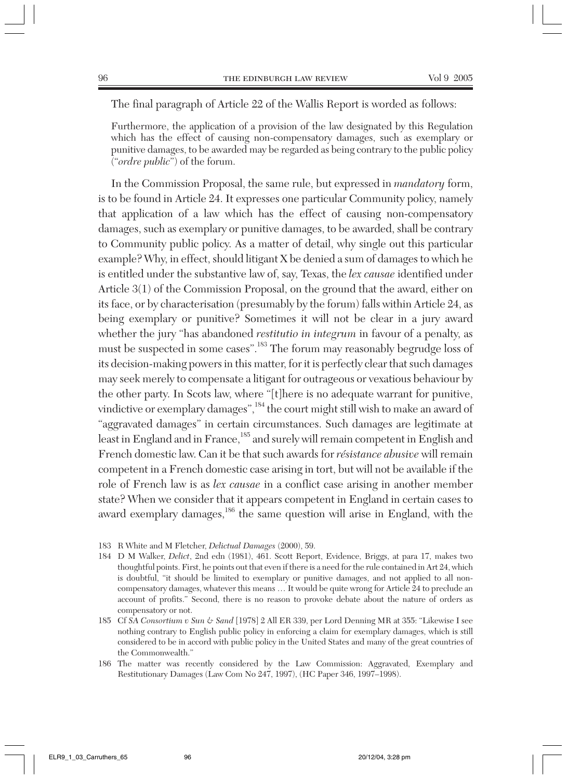The final paragraph of Article 22 of the Wallis Report is worded as follows:

Furthermore, the application of a provision of the law designated by this Regulation which has the effect of causing non-compensatory damages, such as exemplary or punitive damages, to be awarded may be regarded as being contrary to the public policy ("*ordre public*") of the forum.

In the Commission Proposal, the same rule, but expressed in *mandatory* form, is to be found in Article 24. It expresses one particular Community policy, namely that application of a law which has the effect of causing non-compensatory damages, such as exemplary or punitive damages, to be awarded, shall be contrary to Community public policy. As a matter of detail, why single out this particular example? Why, in effect, should litigant X be denied a sum of damages to which he is entitled under the substantive law of, say, Texas, the *lex causae* identified under Article 3(1) of the Commission Proposal, on the ground that the award, either on its face, or by characterisation (presumably by the forum) falls within Article 24, as being exemplary or punitive? Sometimes it will not be clear in a jury award whether the jury "has abandoned *restitutio in integrum* in favour of a penalty, as must be suspected in some cases".<sup>183</sup> The forum may reasonably begrudge loss of its decision-making powers in this matter, for it is perfectly clear that such damages may seek merely to compensate a litigant for outrageous or vexatious behaviour by the other party. In Scots law, where "[t]here is no adequate warrant for punitive, vindictive or exemplary damages",<sup>184</sup> the court might still wish to make an award of "aggravated damages" in certain circumstances. Such damages are legitimate at least in England and in France,<sup>185</sup> and surely will remain competent in English and French domestic law. Can it be that such awards for *résistance abusive* will remain competent in a French domestic case arising in tort, but will not be available if the role of French law is as *lex causae* in a conflict case arising in another member state? When we consider that it appears competent in England in certain cases to award exemplary damages,186 the same question will arise in England, with the

183 R White and M Fletcher, *Delictual Damages* (2000), 59.

184 D M Walker, *Delict*, 2nd edn (1981), 461. Scott Report, Evidence, Briggs, at para 17, makes two thoughtful points. First, he points out that even if there is a need for the rule contained in Art 24, which is doubtful, "it should be limited to exemplary or punitive damages, and not applied to all noncompensatory damages, whatever this means … It would be quite wrong for Article 24 to preclude an account of profits." Second, there is no reason to provoke debate about the nature of orders as compensatory or not.

185 Cf *SA Consortium v Sun & Sand* [1978] 2 All ER 339, per Lord Denning MR at 355: "Likewise I see nothing contrary to English public policy in enforcing a claim for exemplary damages, which is still considered to be in accord with public policy in the United States and many of the great countries of the Commonwealth."

186 The matter was recently considered by the Law Commission: Aggravated, Exemplary and Restitutionary Damages (Law Com No 247, 1997), (HC Paper 346, 1997–1998).